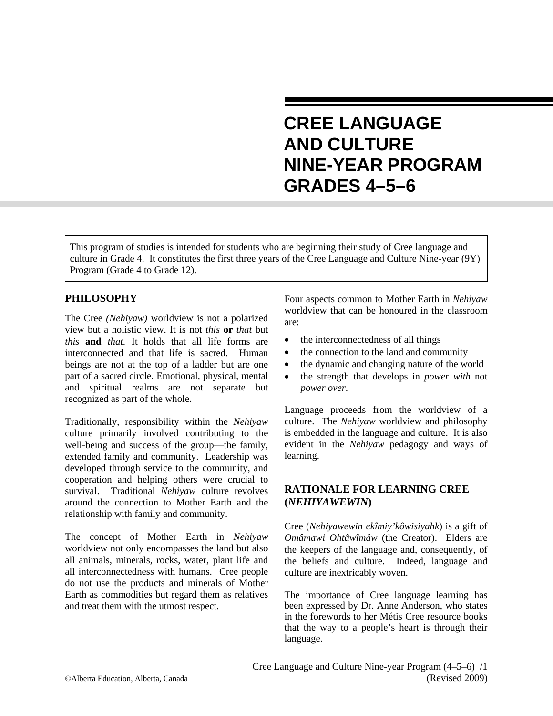# **CREE LANGUAGE AND CULTURE NINE-YEAR PROGRAM GRADES 4–5–6**

This program of studies is intended for students who are beginning their study of Cree language and culture in Grade 4. It constitutes the first three years of the Cree Language and Culture Nine-year (9Y) Program (Grade 4 to Grade 12).

# **PHILOSOPHY**

The Cree *(Nehiyaw)* worldview is not a polarized view but a holistic view. It is not *this* **or** *that* but *this* **and** *that.* It holds that all life forms are interconnected and that life is sacred. Human beings are not at the top of a ladder but are one part of a sacred circle. Emotional, physical, mental and spiritual realms are not separate but recognized as part of the whole.

Traditionally, responsibility within the *Nehiyaw* culture primarily involved contributing to the well-being and success of the group—the family, extended family and community. Leadership was developed through service to the community, and cooperation and helping others were crucial to survival. Traditional *Nehiyaw* culture revolves around the connection to Mother Earth and the relationship with family and community.

The concept of Mother Earth in *Nehiyaw* worldview not only encompasses the land but also all animals, minerals, rocks, water, plant life and all interconnectedness with humans. Cree people do not use the products and minerals of Mother Earth as commodities but regard them as relatives and treat them with the utmost respect.

Four aspects common to Mother Earth in *Nehiyaw* worldview that can be honoured in the classroom are:

- the interconnectedness of all things
- the connection to the land and community
- the dynamic and changing nature of the world
- the strength that develops in *power with* not *power over*.

Language proceeds from the worldview of a culture. The *Nehiyaw* worldview and philosophy is embedded in the language and culture. It is also evident in the *Nehiyaw* pedagogy and ways of learning.

# **RATIONALE FOR LEARNING CREE (***NEHIYAWEWIN***)**

Cree (*Nehiyawewin ekîmiy'kôwisiyahk*) is a gift of *Omâmawi Ohtâwîmâw* (the Creator). Elders are the keepers of the language and, consequently, of the beliefs and culture. Indeed, language and culture are inextricably woven.

The importance of Cree language learning has been expressed by Dr. Anne Anderson, who states in the forewords to her Métis Cree resource books that the way to a people's heart is through their language.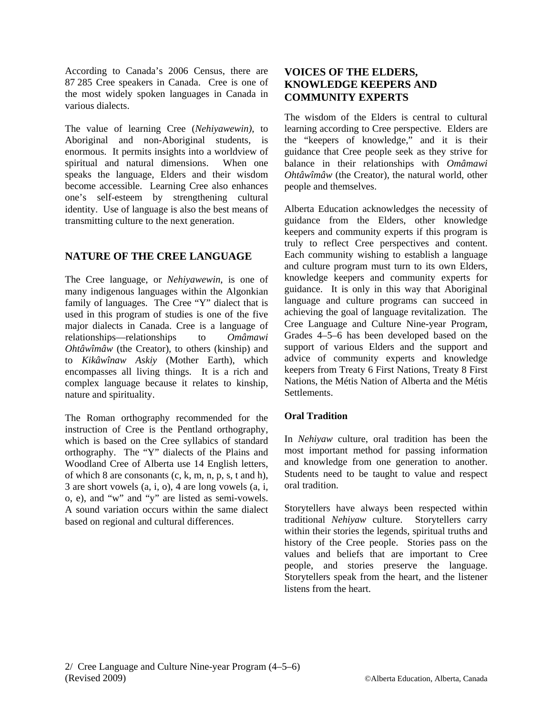According to Canada's 2006 Census, there are 87 285 Cree speakers in Canada. Cree is one of the most widely spoken languages in Canada in various dialects.

The value of learning Cree (*Nehiyawewin)*, to Aboriginal and non-Aboriginal students, is enormous. It permits insights into a worldview of spiritual and natural dimensions. When one speaks the language, Elders and their wisdom become accessible. Learning Cree also enhances one's self-esteem by strengthening cultural identity. Use of language is also the best means of transmitting culture to the next generation.

# **NATURE OF THE CREE LANGUAGE**

The Cree language, or *Nehiyawewin*, is one of many indigenous languages within the Algonkian family of languages. The Cree "Y" dialect that is used in this program of studies is one of the five major dialects in Canada. Cree is a language of relationships—relationships to *Omâmawi Ohtâwîmâw* (the Creator), to others (kinship) and to *Kikâwînaw Askiy* (Mother Earth), which encompasses all living things. It is a rich and complex language because it relates to kinship, nature and spirituality.

The Roman orthography recommended for the instruction of Cree is the Pentland orthography, which is based on the Cree syllabics of standard orthography. The "Y" dialects of the Plains and Woodland Cree of Alberta use 14 English letters, of which 8 are consonants (c, k, m, n, p, s, t and h), 3 are short vowels (a, i, o), 4 are long vowels (a, i, o, e), and "w" and "y" are listed as semi-vowels. A sound variation occurs within the same dialect based on regional and cultural differences.

# **VOICES OF THE ELDERS, KNOWLEDGE KEEPERS AND COMMUNITY EXPERTS**

The wisdom of the Elders is central to cultural learning according to Cree perspective. Elders are the "keepers of knowledge," and it is their guidance that Cree people seek as they strive for balance in their relationships with *Omâmawi Ohtâwîmâw* (the Creator), the natural world, other people and themselves.

Alberta Education acknowledges the necessity of guidance from the Elders, other knowledge keepers and community experts if this program is truly to reflect Cree perspectives and content. Each community wishing to establish a language and culture program must turn to its own Elders, knowledge keepers and community experts for guidance. It is only in this way that Aboriginal language and culture programs can succeed in achieving the goal of language revitalization. The Cree Language and Culture Nine-year Program, Grades 4–5–6 has been developed based on the support of various Elders and the support and advice of community experts and knowledge keepers from Treaty 6 First Nations, Treaty 8 First Nations, the Métis Nation of Alberta and the Métis **Settlements** 

## **Oral Tradition**

In *Nehiyaw* culture, oral tradition has been the most important method for passing information and knowledge from one generation to another. Students need to be taught to value and respect oral tradition.

Storytellers have always been respected within traditional *Nehiyaw* culture. Storytellers carry within their stories the legends, spiritual truths and history of the Cree people. Stories pass on the values and beliefs that are important to Cree people, and stories preserve the language. Storytellers speak from the heart, and the listener listens from the heart.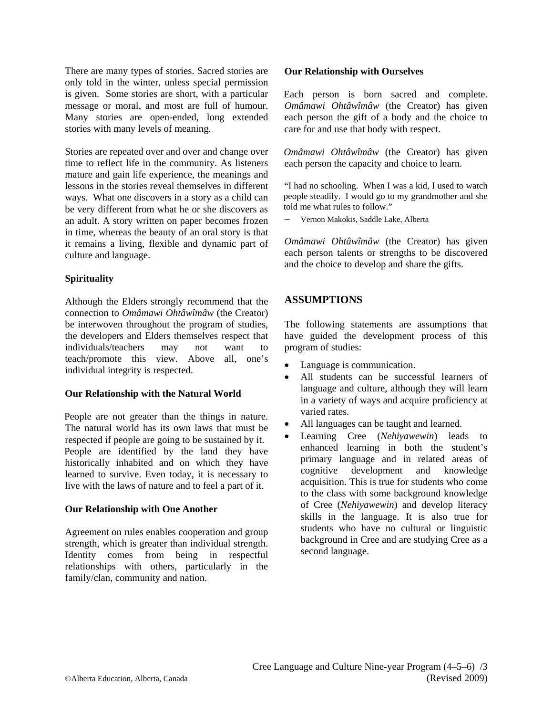There are many types of stories. Sacred stories are only told in the winter, unless special permission is given. Some stories are short, with a particular message or moral, and most are full of humour. Many stories are open-ended, long extended stories with many levels of meaning.

Stories are repeated over and over and change over time to reflect life in the community. As listeners mature and gain life experience, the meanings and lessons in the stories reveal themselves in different ways. What one discovers in a story as a child can be very different from what he or she discovers as an adult. A story written on paper becomes frozen in time, whereas the beauty of an oral story is that it remains a living, flexible and dynamic part of culture and language.

## **Spirituality**

Although the Elders strongly recommend that the connection to *Omâmawi Ohtâwîmâw* (the Creator) be interwoven throughout the program of studies, the developers and Elders themselves respect that individuals/teachers may not want to teach/promote this view. Above all, one's individual integrity is respected.

## **Our Relationship with the Natural World**

People are not greater than the things in nature. The natural world has its own laws that must be respected if people are going to be sustained by it. People are identified by the land they have historically inhabited and on which they have learned to survive. Even today, it is necessary to live with the laws of nature and to feel a part of it.

## **Our Relationship with One Another**

Agreement on rules enables cooperation and group strength, which is greater than individual strength. Identity comes from being in respectful relationships with others, particularly in the family/clan, community and nation.

## **Our Relationship with Ourselves**

Each person is born sacred and complete. *Omâmawi Ohtâwîmâw* (the Creator) has given each person the gift of a body and the choice to care for and use that body with respect.

*Omâmawi Ohtâwîmâw* (the Creator) has given each person the capacity and choice to learn.

"I had no schooling. When I was a kid, I used to watch people steadily. I would go to my grandmother and she told me what rules to follow."

− Vernon Makokis, Saddle Lake, Alberta

*Omâmawi Ohtâwîmâw* (the Creator) has given each person talents or strengths to be discovered and the choice to develop and share the gifts.

# **ASSUMPTIONS**

The following statements are assumptions that have guided the development process of this program of studies:

- Language is communication.
- All students can be successful learners of language and culture, although they will learn in a variety of ways and acquire proficiency at varied rates.
- All languages can be taught and learned.
- Learning Cree (*Nehiyawewin*) leads to enhanced learning in both the student's primary language and in related areas of cognitive development and knowledge acquisition. This is true for students who come to the class with some background knowledge of Cree (*Nehiyawewin*) and develop literacy skills in the language. It is also true for students who have no cultural or linguistic background in Cree and are studying Cree as a second language.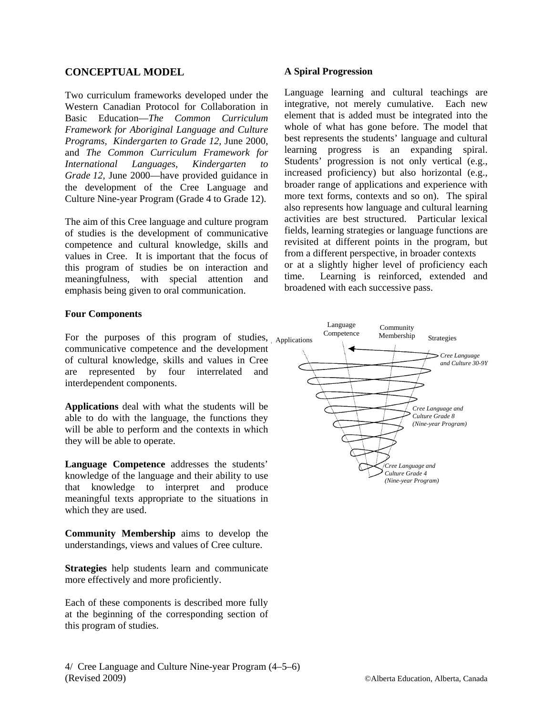## **CONCEPTUAL MODEL**

Two curriculum frameworks developed under the Western Canadian Protocol for Collaboration in Basic Education—*The Common Curriculum Framework for Aboriginal Language and Culture Programs, Kindergarten to Grade 12,* June 2000, and *The Common Curriculum Framework for International Languages, Kindergarten to Grade 12,* June 2000—have provided guidance in the development of the Cree Language and Culture Nine-year Program (Grade 4 to Grade 12).

The aim of this Cree language and culture program of studies is the development of communicative competence and cultural knowledge, skills and values in Cree. It is important that the focus of this program of studies be on interaction and meaningfulness, with special attention and emphasis being given to oral communication.

## **Four Components**

For the purposes of this program of studies, Applications communicative competence and the development of cultural knowledge, skills and values in Cree are represented by four interrelated and interdependent components.

**Applications** deal with what the students will be able to do with the language, the functions they will be able to perform and the contexts in which they will be able to operate.

**Language Competence** addresses the students' knowledge of the language and their ability to use that knowledge to interpret and produce meaningful texts appropriate to the situations in which they are used.

**Community Membership** aims to develop the understandings, views and values of Cree culture.

**Strategies** help students learn and communicate more effectively and more proficiently.

Each of these components is described more fully at the beginning of the corresponding section of this program of studies.

#### **A Spiral Progression**

Language learning and cultural teachings are integrative, not merely cumulative. Each new element that is added must be integrated into the whole of what has gone before. The model that best represents the students' language and cultural learning progress is an expanding spiral. Students' progression is not only vertical (e.g., increased proficiency) but also horizontal (e.g., broader range of applications and experience with more text forms, contexts and so on). The spiral also represents how language and cultural learning activities are best structured. Particular lexical fields, learning strategies or language functions are revisited at different points in the program, but from a different perspective, in broader contexts or at a slightly higher level of proficiency each time. Learning is reinforced, extended and broadened with each successive pass.

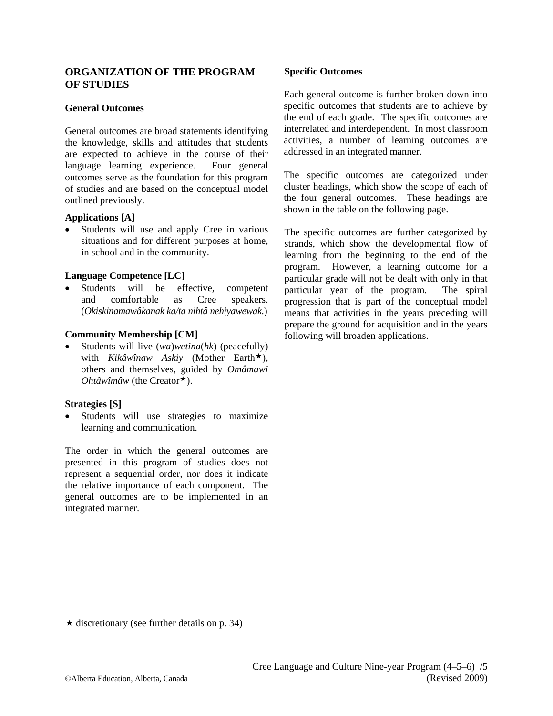## **ORGANIZATION OF THE PROGRAM OF STUDIES**

#### **General Outcomes**

General outcomes are broad statements identifying the knowledge, skills and attitudes that students are expected to achieve in the course of their language learning experience. Four general outcomes serve as the foundation for this program of studies and are based on the conceptual model outlined previously.

#### **Applications [A]**

• Students will use and apply Cree in various situations and for different purposes at home, in school and in the community.

## **Language Competence [LC]**

Students will be effective, competent and comfortable as Cree speakers. (*Okiskinamawâkanak ka/ta nihtâ nehiyawewak.*)

#### **Community Membership [CM]**

• Students will live (*wa*)*wetina*(*hk*) (peacefully) with *Kikâwînaw Askiy* (Mother Earth<sup>\*</sup>), others and themselves, guided by *Omâmawi Ohtâwîmâw* (the Creator<sup>\*</sup>).

#### **Strategies [S]**

• Students will use strategies to maximize learning and communication.

The order in which the general outcomes are presented in this program of studies does not represent a sequential order, nor does it indicate the relative importance of each component. The general outcomes are to be implemented in an integrated manner.

#### **Specific Outcomes**

Each general outcome is further broken down into specific outcomes that students are to achieve by the end of each grade. The specific outcomes are interrelated and interdependent. In most classroom activities, a number of learning outcomes are addressed in an integrated manner.

The specific outcomes are categorized under cluster headings, which show the scope of each of the four general outcomes. These headings are shown in the table on the following page.

The specific outcomes are further categorized by strands, which show the developmental flow of learning from the beginning to the end of the program. However, a learning outcome for a particular grade will not be dealt with only in that particular year of the program. The spiral progression that is part of the conceptual model means that activities in the years preceding will prepare the ground for acquisition and in the years following will broaden applications.

 $\star$  discretionary (see further details on p. 34)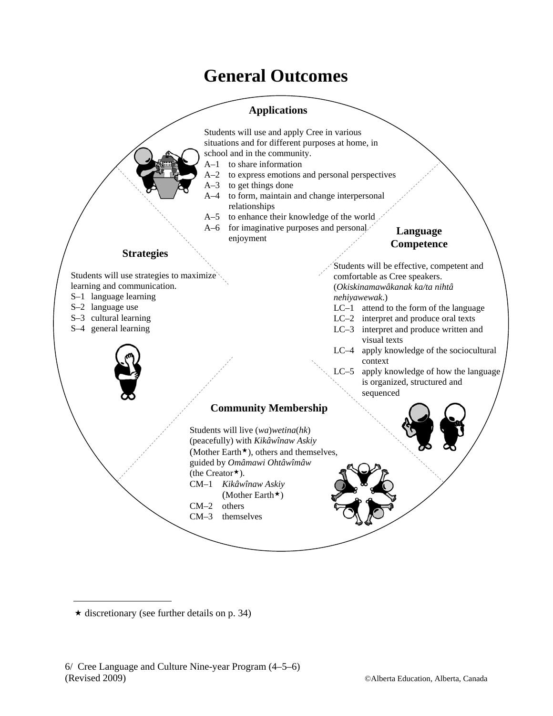# **General Outcomes**



 $\star$  discretionary (see further details on p. 34)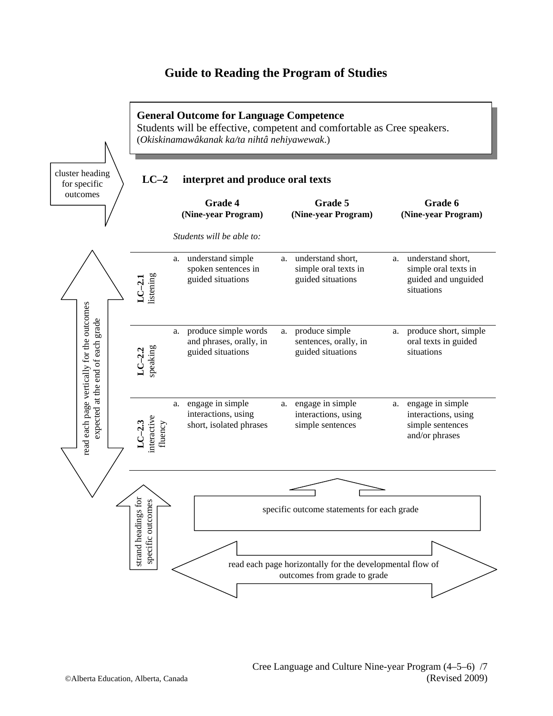# **Guide to Reading the Program of Studies**

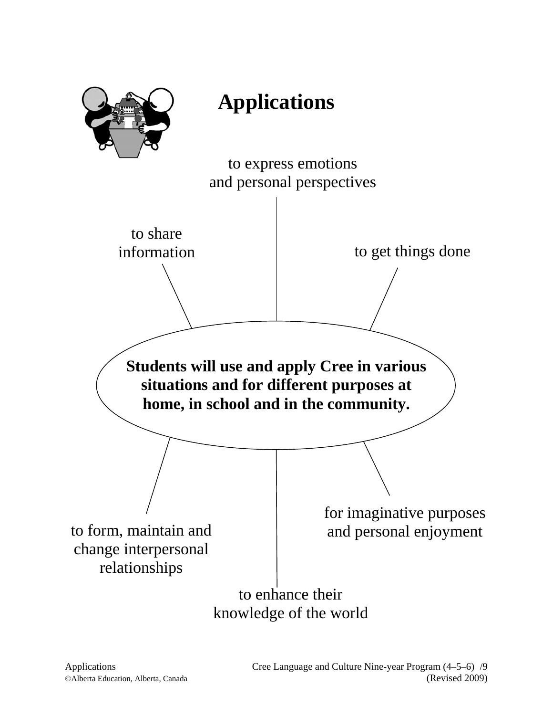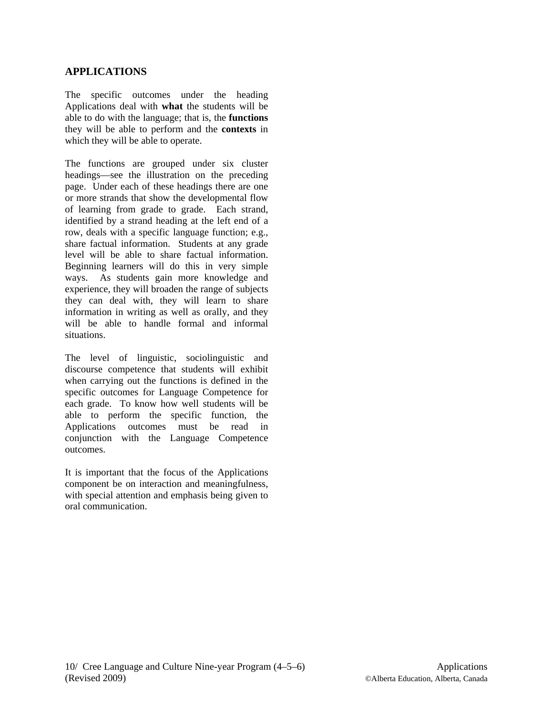# **APPLICATIONS**

The specific outcomes under the heading Applications deal with **what** the students will be able to do with the language; that is, the **functions** they will be able to perform and the **contexts** in which they will be able to operate.

The functions are grouped under six cluster headings—see the illustration on the preceding page. Under each of these headings there are one or more strands that show the developmental flow of learning from grade to grade. Each strand, identified by a strand heading at the left end of a row, deals with a specific language function; e.g., share factual information. Students at any grade level will be able to share factual information. Beginning learners will do this in very simple ways. As students gain more knowledge and experience, they will broaden the range of subjects they can deal with, they will learn to share information in writing as well as orally, and they will be able to handle formal and informal situations.

The level of linguistic, sociolinguistic and discourse competence that students will exhibit when carrying out the functions is defined in the specific outcomes for Language Competence for each grade. To know how well students will be able to perform the specific function, the Applications outcomes must be read in conjunction with the Language Competence outcomes.

It is important that the focus of the Applications component be on interaction and meaningfulness, with special attention and emphasis being given to oral communication.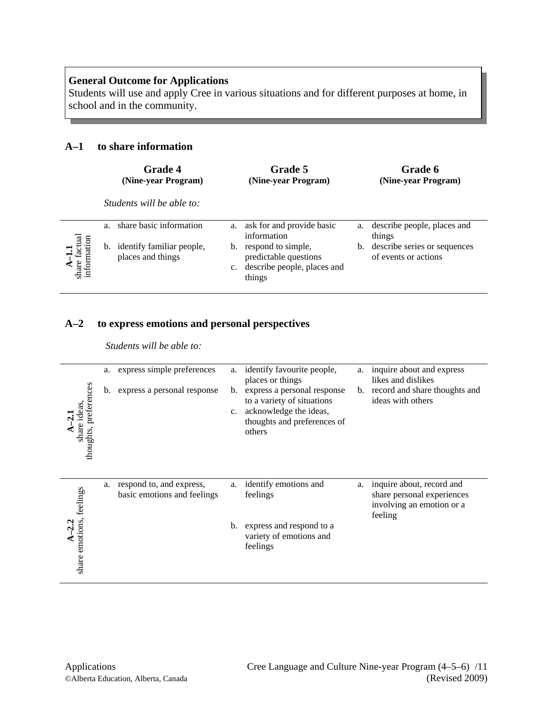Students will use and apply Cree in various situations and for different purposes at home, in school and in the community.

# **A–1 to share information**

|                                                                                            |                | <b>Grade 4</b><br>(Nine-year Program)             |                   | Grade 5<br>(Nine-year Program)                                                       |    | Grade 6<br>(Nine-year Program)                       |
|--------------------------------------------------------------------------------------------|----------------|---------------------------------------------------|-------------------|--------------------------------------------------------------------------------------|----|------------------------------------------------------|
|                                                                                            |                | Students will be able to:                         |                   |                                                                                      |    |                                                      |
|                                                                                            | a <sub>1</sub> | share basic information                           | a.                | ask for and provide basic<br>information                                             | a. | describe people, places and<br>things                |
| $\begin{array}{c} \mathbf{A-1.1} \\ \text{share fecual} \\ \text{information} \end{array}$ |                | b. identify familiar people,<br>places and things | b.<br>$c_{\cdot}$ | respond to simple,<br>predictable questions<br>describe people, places and<br>things | b. | describe series or sequences<br>of events or actions |

# **A–2 to express emotions and personal perspectives**

*Students will be able to:* 

| thoughts, preferences<br>share ideas, | a.<br>b. | express simple preferences<br>express a personal response | a.<br>b.<br>$c_{\cdot}$ | identify favourite people,<br>places or things<br>express a personal response<br>to a variety of situations<br>acknowledge the ideas,<br>thoughts and preferences of<br>others | a.<br>b. | inquire about and express<br>likes and dislikes<br>record and share thoughts and<br>ideas with others |
|---------------------------------------|----------|-----------------------------------------------------------|-------------------------|--------------------------------------------------------------------------------------------------------------------------------------------------------------------------------|----------|-------------------------------------------------------------------------------------------------------|
| $A-2.2$<br>share emotions, feelings   | a.       | respond to, and express,<br>basic emotions and feelings   | a.<br>b.                | identify emotions and<br>feelings<br>express and respond to a<br>variety of emotions and<br>feelings                                                                           | a.       | inquire about, record and<br>share personal experiences<br>involving an emotion or a<br>feeling       |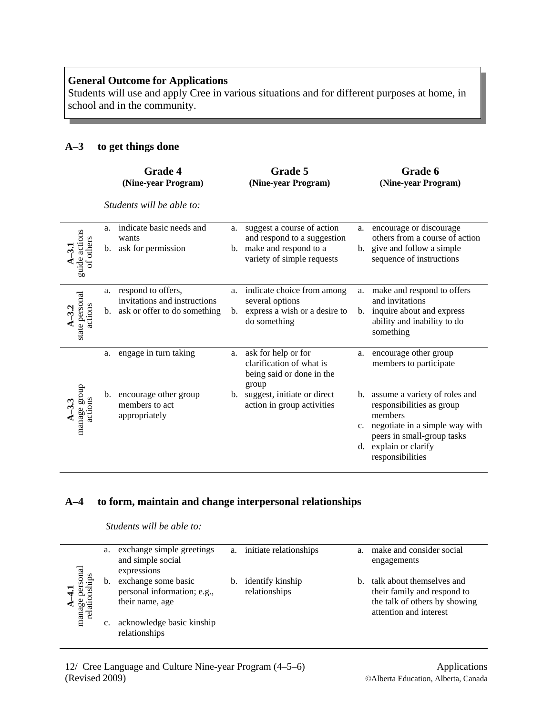Students will use and apply Cree in various situations and for different purposes at home, in school and in the community.

# **A–3 to get things done**

|                            | <b>Grade 4</b><br>(Nine-year Program)                                                      | Grade 5<br>(Nine-year Program)                                                                                                                              | Grade 6<br>(Nine-year Program)                                                                                                                                                                                                                          |
|----------------------------|--------------------------------------------------------------------------------------------|-------------------------------------------------------------------------------------------------------------------------------------------------------------|---------------------------------------------------------------------------------------------------------------------------------------------------------------------------------------------------------------------------------------------------------|
|                            | Students will be able to:                                                                  |                                                                                                                                                             |                                                                                                                                                                                                                                                         |
| guide actions<br>of others | indicate basic needs and<br>a.<br>wants<br>ask for permission<br>b.                        | suggest a course of action<br>a.<br>and respond to a suggestion<br>make and respond to a<br>b.<br>variety of simple requests                                | encourage or discourage<br>a.<br>others from a course of action<br>b. give and follow a simple<br>sequence of instructions                                                                                                                              |
| state personal<br>actions  | a. respond to offers,<br>invitations and instructions<br>b. ask or offer to do something   | indicate choice from among<br>a.<br>several options<br>express a wish or a desire to<br>$b_{1}$<br>do something                                             | make and respond to offers<br>a.<br>and invitations<br>b. inquire about and express<br>ability and inability to do<br>something                                                                                                                         |
| manage group<br>actions    | engage in turn taking<br>a.<br>b. encourage other group<br>members to act<br>appropriately | ask for help or for<br>a.<br>clarification of what is<br>being said or done in the<br>group<br>b. suggest, initiate or direct<br>action in group activities | encourage other group<br>a.<br>members to participate<br>assume a variety of roles and<br>b.<br>responsibilities as group<br>members<br>c. negotiate in a simple way with<br>peers in small-group tasks<br>explain or clarify<br>d.<br>responsibilities |

# **A–4 to form, maintain and change interpersonal relationships**

*Students will be able to:* 

| e personal<br>ionships<br>rela<br>mana | a.             | exchange simple greetings<br>and simple social<br>expressions         | a. | initiate relationships            | $a_{-}$ | make and consider social<br>engagements                                                                             |
|----------------------------------------|----------------|-----------------------------------------------------------------------|----|-----------------------------------|---------|---------------------------------------------------------------------------------------------------------------------|
|                                        | b.             | exchange some basic<br>personal information; e.g.,<br>their name, age | b. | identify kinship<br>relationships |         | talk about themselves and<br>their family and respond to<br>the talk of others by showing<br>attention and interest |
|                                        | $\mathbf{c}$ . | acknowledge basic kinship<br>relationships                            |    |                                   |         |                                                                                                                     |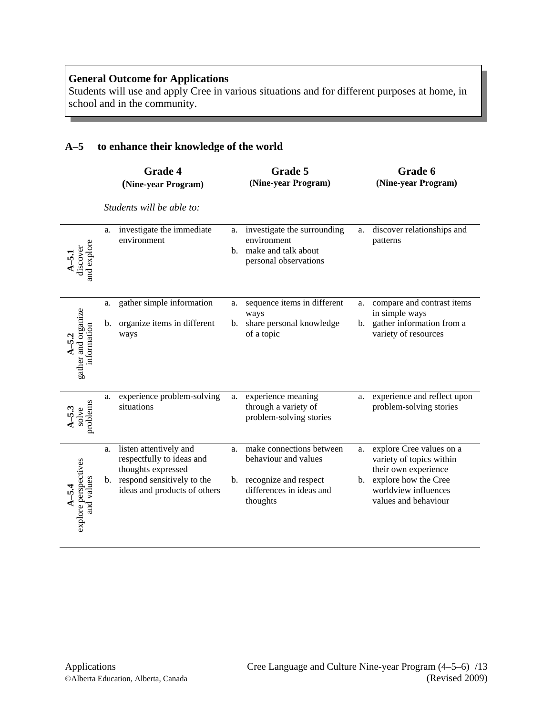Students will use and apply Cree in various situations and for different purposes at home, in school and in the community.

# **A–5 to enhance their knowledge of the world**

|                                              |          | <b>Grade 4</b><br>(Nine-year Program)                                                                                                      |          | Grade 5<br>(Nine-year Program)                                                                                       |          | Grade 6<br>(Nine-year Program)                                                                                                                       |
|----------------------------------------------|----------|--------------------------------------------------------------------------------------------------------------------------------------------|----------|----------------------------------------------------------------------------------------------------------------------|----------|------------------------------------------------------------------------------------------------------------------------------------------------------|
|                                              |          | Students will be able to:                                                                                                                  |          |                                                                                                                      |          |                                                                                                                                                      |
| $A=5.1$<br>discover<br>and explore           | a.       | investigate the immediate<br>environment                                                                                                   | a.       | investigate the surrounding<br>environment<br>b. make and talk about<br>personal observations                        | a.       | discover relationships and<br>patterns                                                                                                               |
| gather and organize<br>information           | a.<br>b. | gather simple information<br>organize items in different<br>ways                                                                           | a.<br>b. | sequence items in different<br>ways<br>share personal knowledge<br>of a topic                                        | a.<br>b. | compare and contrast items<br>in simple ways<br>gather information from a<br>variety of resources                                                    |
| problems<br>solve                            | a.       | experience problem-solving<br>situations                                                                                                   | a.       | experience meaning<br>through a variety of<br>problem-solving stories                                                | a.       | experience and reflect upon<br>problem-solving stories                                                                                               |
| explore perspectives<br>and values<br>$-5.4$ | a.       | listen attentively and<br>respectfully to ideas and<br>thoughts expressed<br>b. respond sensitively to the<br>ideas and products of others | a.       | make connections between<br>behaviour and values<br>b. recognize and respect<br>differences in ideas and<br>thoughts | a.<br>b. | explore Cree values on a<br>variety of topics within<br>their own experience<br>explore how the Cree<br>worldview influences<br>values and behaviour |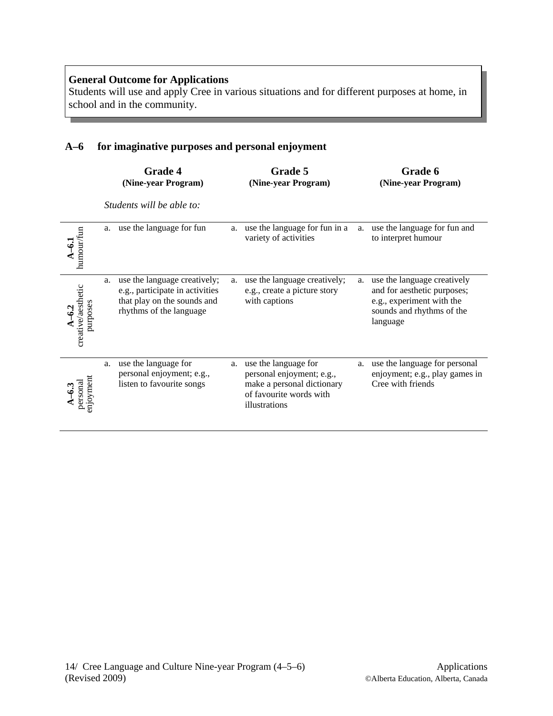Students will use and apply Cree in various situations and for different purposes at home, in school and in the community.

# **A–6 for imaginative purposes and personal enjoyment**

|                                |    | <b>Grade 4</b><br>(Nine-year Program)                                                                                     |    | Grade 5<br>(Nine-year Program)                                                                                              |    | Grade 6<br>(Nine-year Program)                                                                                                   |
|--------------------------------|----|---------------------------------------------------------------------------------------------------------------------------|----|-----------------------------------------------------------------------------------------------------------------------------|----|----------------------------------------------------------------------------------------------------------------------------------|
|                                |    | Students will be able to:                                                                                                 |    |                                                                                                                             |    |                                                                                                                                  |
| humour/fun                     |    | a. use the language for fun                                                                                               | a. | use the language for fun in a<br>variety of activities                                                                      | a. | use the language for fun and<br>to interpret humour                                                                              |
| creative/aesthetic<br>purposes | a. | use the language creatively;<br>e.g., participate in activities<br>that play on the sounds and<br>rhythms of the language | a. | use the language creatively;<br>e.g., create a picture story<br>with captions                                               | a. | use the language creatively<br>and for aesthetic purposes;<br>e.g., experiment with the<br>sounds and rhythms of the<br>language |
| injoyment<br>personal<br>ဒ္    | a. | use the language for<br>personal enjoyment; e.g.,<br>listen to favourite songs                                            | a. | use the language for<br>personal enjoyment; e.g.,<br>make a personal dictionary<br>of favourite words with<br>illustrations | a. | use the language for personal<br>enjoyment; e.g., play games in<br>Cree with friends                                             |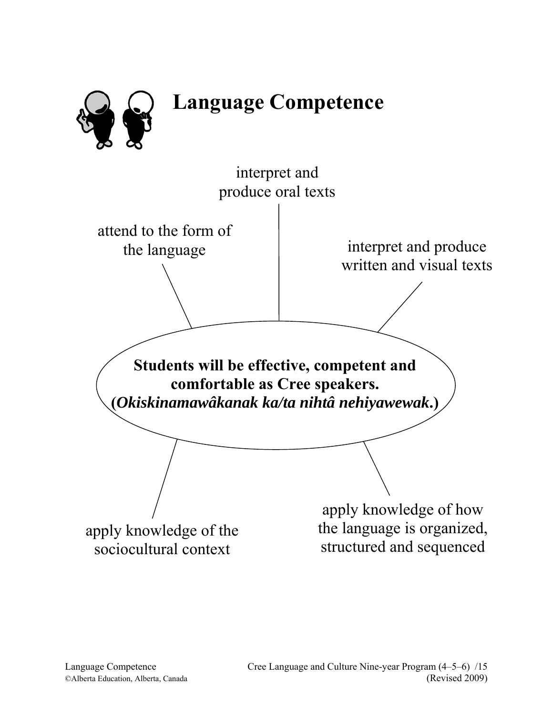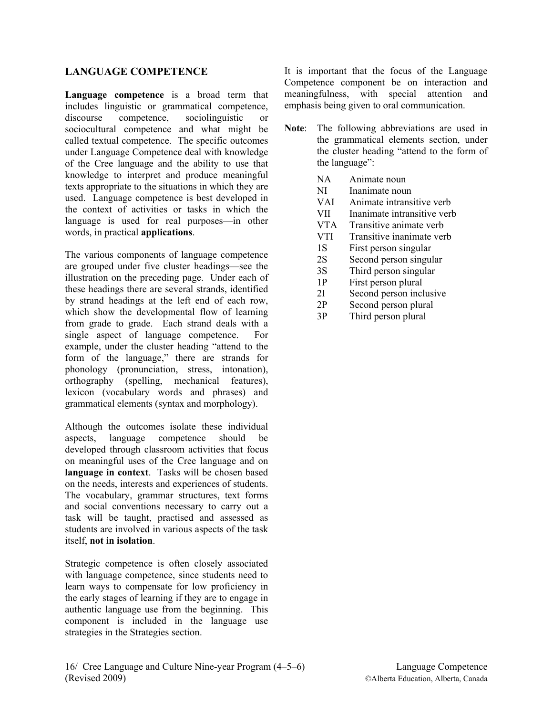# **LANGUAGE COMPETENCE**

**Language competence** is a broad term that includes linguistic or grammatical competence, discourse competence, sociolinguistic or sociocultural competence and what might be called textual competence. The specific outcomes under Language Competence deal with knowledge of the Cree language and the ability to use that knowledge to interpret and produce meaningful texts appropriate to the situations in which they are used. Language competence is best developed in the context of activities or tasks in which the language is used for real purposes—in other words, in practical **applications**.

The various components of language competence are grouped under five cluster headings—see the illustration on the preceding page. Under each of these headings there are several strands, identified by strand headings at the left end of each row, which show the developmental flow of learning from grade to grade. Each strand deals with a single aspect of language competence. For example, under the cluster heading "attend to the form of the language," there are strands for phonology (pronunciation, stress, intonation), orthography (spelling, mechanical features), lexicon (vocabulary words and phrases) and grammatical elements (syntax and morphology).

Although the outcomes isolate these individual aspects, language competence should be developed through classroom activities that focus on meaningful uses of the Cree language and on **language in context**. Tasks will be chosen based on the needs, interests and experiences of students. The vocabulary, grammar structures, text forms and social conventions necessary to carry out a task will be taught, practised and assessed as students are involved in various aspects of the task itself, **not in isolation**.

Strategic competence is often closely associated with language competence, since students need to learn ways to compensate for low proficiency in the early stages of learning if they are to engage in authentic language use from the beginning. This component is included in the language use strategies in the Strategies section.

It is important that the focus of the Language Competence component be on interaction and meaningfulness, with special attention and emphasis being given to oral communication.

- **Note**: The following abbreviations are used in the grammatical elements section, under the cluster heading "attend to the form of the language":
	- NA Animate noun
	- NI Inanimate noun
	- VAI Animate intransitive verb
	- VII Inanimate intransitive verb
	- VTA Transitive animate verb
	- VTI Transitive inanimate verb
	- 1S First person singular
	- 2S Second person singular
	- 3S Third person singular
	- 1P First person plural
	- 2I Second person inclusive
	- 2P Second person plural
	- 3P Third person plural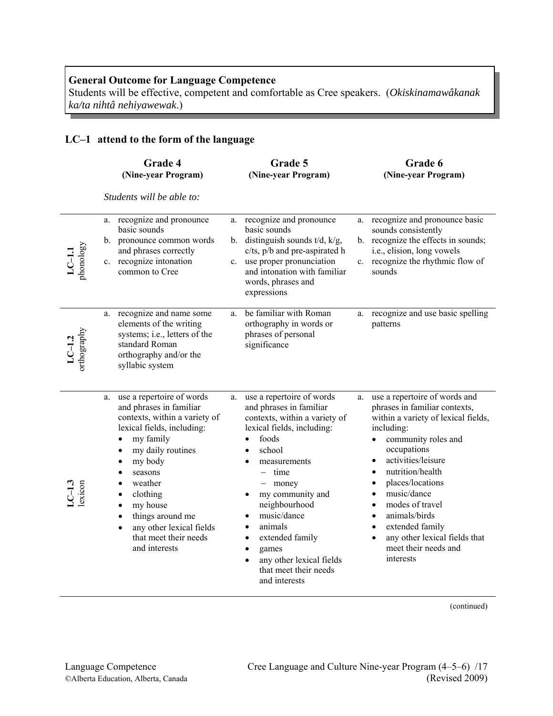Students will be effective, competent and comfortable as Cree speakers. (*Okiskinamawâkanak ka/ta nihtâ nehiyawewak*.)

# **LC–1 attend to the form of the language**

|                       | Grade 4<br>(Nine-year Program)                                                                                                                                                                                                                                                                                                                                                                                 | Grade 5<br>(Nine-year Program)                                                                                                                                                                                                                                                                                                                                           | Grade 6<br>(Nine-year Program)                                                                                                                                                                                                                                                                                                                                                                                                                                            |
|-----------------------|----------------------------------------------------------------------------------------------------------------------------------------------------------------------------------------------------------------------------------------------------------------------------------------------------------------------------------------------------------------------------------------------------------------|--------------------------------------------------------------------------------------------------------------------------------------------------------------------------------------------------------------------------------------------------------------------------------------------------------------------------------------------------------------------------|---------------------------------------------------------------------------------------------------------------------------------------------------------------------------------------------------------------------------------------------------------------------------------------------------------------------------------------------------------------------------------------------------------------------------------------------------------------------------|
|                       | Students will be able to:                                                                                                                                                                                                                                                                                                                                                                                      |                                                                                                                                                                                                                                                                                                                                                                          |                                                                                                                                                                                                                                                                                                                                                                                                                                                                           |
| $LC-1.1$<br>phonology | a. recognize and pronounce<br>basic sounds<br>b. pronounce common words<br>and phrases correctly<br>c. recognize intonation<br>common to Cree                                                                                                                                                                                                                                                                  | recognize and pronounce<br>a.<br>basic sounds<br>b. distinguish sounds $t/d$ , $k/g$ ,<br>c/ts, p/b and pre-aspirated h<br>use proper pronunciation<br>$c_{\cdot}$<br>and intonation with familiar<br>words, phrases and<br>expressions                                                                                                                                  | recognize and pronounce basic<br>a.<br>sounds consistently<br>b. recognize the effects in sounds;<br>i.e., elision, long vowels<br>recognize the rhythmic flow of<br>$c_{-}$<br>sounds                                                                                                                                                                                                                                                                                    |
| LC-1.2<br>orthography | a. recognize and name some<br>elements of the writing<br>systems; i.e., letters of the<br>standard Roman<br>orthography and/or the<br>syllabic system                                                                                                                                                                                                                                                          | be familiar with Roman<br>a.<br>orthography in words or<br>phrases of personal<br>significance                                                                                                                                                                                                                                                                           | recognize and use basic spelling<br>a.<br>patterns                                                                                                                                                                                                                                                                                                                                                                                                                        |
|                       | use a repertoire of words<br>a.<br>and phrases in familiar<br>contexts, within a variety of<br>lexical fields, including:<br>my family<br>$\bullet$<br>my daily routines<br>$\bullet$<br>my body<br>$\bullet$<br>seasons<br>٠<br>weather<br>clothing<br>$\bullet$<br>my house<br>$\bullet$<br>things around me<br>$\bullet$<br>any other lexical fields<br>$\bullet$<br>that meet their needs<br>and interests | use a repertoire of words<br>a.<br>and phrases in familiar<br>contexts, within a variety of<br>lexical fields, including:<br>foods<br>school<br>measurements<br>time<br>money<br>my community and<br>neighbourhood<br>music/dance<br>animals<br>extended family<br>$\bullet$<br>games<br>$\bullet$<br>any other lexical fields<br>that meet their needs<br>and interests | use a repertoire of words and<br>a.<br>phrases in familiar contexts,<br>within a variety of lexical fields,<br>including:<br>community roles and<br>$\bullet$<br>occupations<br>activities/leisure<br>$\bullet$<br>nutrition/health<br>places/locations<br>٠<br>music/dance<br>$\bullet$<br>modes of travel<br>$\bullet$<br>animals/birds<br>$\bullet$<br>extended family<br>$\bullet$<br>any other lexical fields that<br>$\bullet$<br>meet their needs and<br>interests |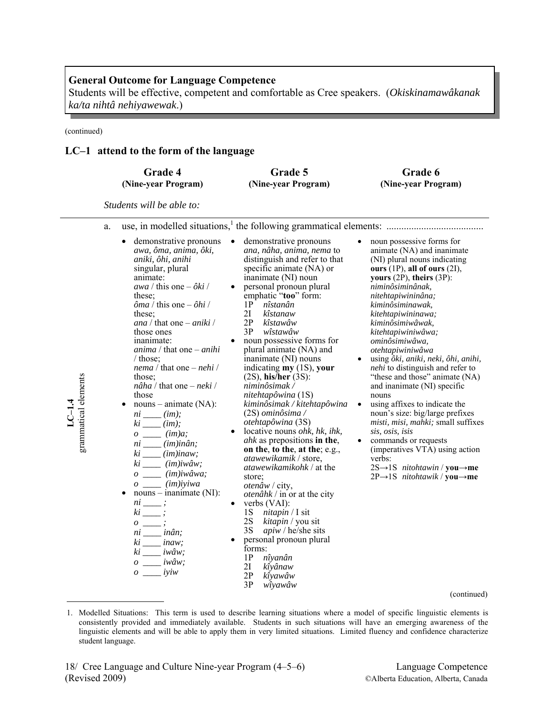Students will be effective, competent and comfortable as Cree speakers. (*Okiskinamawâkanak ka/ta nihtâ nehiyawewak*.)

(continued)

**LC–1.4** 

## **LC–1 attend to the form of the language**

|                      | Grade 4                                                                                                                                                                                                                                                                                                                                                                                                                                                                                                                                                                                                                                                                                                                                                                                                                                                                                                                                           | Grade 5                                                                                                                                                                                                                                                                                                                                                                                                                                                                                                                                                                                                                                                                                                                                                                                                                                                                                                                                                                            | Grade 6                                                                                                                                                                                                                                                                                                                                                                                                                                                                                                                                                                                                                                                                                                                                                                        |
|----------------------|---------------------------------------------------------------------------------------------------------------------------------------------------------------------------------------------------------------------------------------------------------------------------------------------------------------------------------------------------------------------------------------------------------------------------------------------------------------------------------------------------------------------------------------------------------------------------------------------------------------------------------------------------------------------------------------------------------------------------------------------------------------------------------------------------------------------------------------------------------------------------------------------------------------------------------------------------|------------------------------------------------------------------------------------------------------------------------------------------------------------------------------------------------------------------------------------------------------------------------------------------------------------------------------------------------------------------------------------------------------------------------------------------------------------------------------------------------------------------------------------------------------------------------------------------------------------------------------------------------------------------------------------------------------------------------------------------------------------------------------------------------------------------------------------------------------------------------------------------------------------------------------------------------------------------------------------|--------------------------------------------------------------------------------------------------------------------------------------------------------------------------------------------------------------------------------------------------------------------------------------------------------------------------------------------------------------------------------------------------------------------------------------------------------------------------------------------------------------------------------------------------------------------------------------------------------------------------------------------------------------------------------------------------------------------------------------------------------------------------------|
|                      | (Nine-year Program)                                                                                                                                                                                                                                                                                                                                                                                                                                                                                                                                                                                                                                                                                                                                                                                                                                                                                                                               | (Nine-year Program)                                                                                                                                                                                                                                                                                                                                                                                                                                                                                                                                                                                                                                                                                                                                                                                                                                                                                                                                                                | (Nine-year Program)                                                                                                                                                                                                                                                                                                                                                                                                                                                                                                                                                                                                                                                                                                                                                            |
|                      | Students will be able to:                                                                                                                                                                                                                                                                                                                                                                                                                                                                                                                                                                                                                                                                                                                                                                                                                                                                                                                         |                                                                                                                                                                                                                                                                                                                                                                                                                                                                                                                                                                                                                                                                                                                                                                                                                                                                                                                                                                                    |                                                                                                                                                                                                                                                                                                                                                                                                                                                                                                                                                                                                                                                                                                                                                                                |
| a.                   | demonstrative pronouns                                                                                                                                                                                                                                                                                                                                                                                                                                                                                                                                                                                                                                                                                                                                                                                                                                                                                                                            | demonstrative pronouns                                                                                                                                                                                                                                                                                                                                                                                                                                                                                                                                                                                                                                                                                                                                                                                                                                                                                                                                                             |                                                                                                                                                                                                                                                                                                                                                                                                                                                                                                                                                                                                                                                                                                                                                                                |
|                      | ٠                                                                                                                                                                                                                                                                                                                                                                                                                                                                                                                                                                                                                                                                                                                                                                                                                                                                                                                                                 | $\bullet$                                                                                                                                                                                                                                                                                                                                                                                                                                                                                                                                                                                                                                                                                                                                                                                                                                                                                                                                                                          | noun possessive forms for                                                                                                                                                                                                                                                                                                                                                                                                                                                                                                                                                                                                                                                                                                                                                      |
| grammatical elements | awa, ôma, anima, ôki,<br>aniki, ôhi, anihi<br>singular, plural<br>animate:<br><i>awa</i> / this one $-\partial k\hat{i}$ /<br>these:<br>$\delta ma /$ this one $-\delta hi /$<br>these:<br>ana / that one $-\text{aniki}$ /<br>those ones<br>inanimate:<br><i>anima</i> / that one $-\tanh i$<br>$/$ those:<br><i>nema</i> / that one $-\textit{nehi}$ /<br>those:<br>$n\hat{a}ha$ / that one – <i>neki</i> /<br>those<br>$nouns - animate (NA):$<br>$\bullet$<br>$ni$ <sub>____</sub> $(im);$<br>$ki$ <sub>____</sub> $(im);$<br>$o$ ____ $(im)a;$<br>$ni$ _____ $(im)in\hat{a}n;$<br>$ki$ _____ $(im)$ inaw;<br>$ki$ ______ $(im)iw\hat{a}w;$<br>$o$ _____ (im)iwâwa;<br>$o \_\_$ (im)iyiwa<br>$nouns - inanimate (NI):$<br>$ni$ <sub>___</sub> ;<br>$ki$ ____;<br>$\hspace{0.05cm}o$ ____ ;<br>$ni$ <sub>____</sub> $in\hat{a}n;$<br>$ki$ <sup>-</sup> inaw;<br>$ki$ <sub>____</sub> $iw\hat{a}w;$<br>$\sigma$ ______ iwâw;<br>$o \_\_\_$ iyiw | ana, nâha, anima, nema to<br>distinguish and refer to that<br>specific animate (NA) or<br>inanimate (NI) noun<br>personal pronoun plural<br>emphatic "too" form:<br>$1P$ <i>nîstanân</i><br>2I<br>kîstanaw<br>2P<br>kîstawâw<br>3P<br>wîstawâw<br>noun possessive forms for<br>plural animate (NA) and<br>inanimate (NI) nouns<br>indicating $my(1S)$ , your<br>$(2S)$ , his/her $(3S)$ :<br>niminôsimak /<br>nitehtapôwina (1S)<br>kiminôsimak / kitehtapôwina<br>$(2S)$ ominôsima /<br>otehtapôwina (3S)<br>locative nouns <i>ohk</i> , hk, ihk,<br>ahk as prepositions in the,<br>on the, to the, at the; e.g.,<br>atawewikamik / store,<br><i>atawewikamikohk</i> / at the<br>store:<br>otenâw / city,<br><i>otenâhk</i> / in or at the city<br>verbs $(VAI)$ :<br>٠<br>1S<br><i>nitapin</i> $\frac{1}{1}$ sit<br>2S<br>kitapin / you sit<br>3S<br>apiw / he/she sits<br>personal pronoun plural<br>forms:<br>1P<br>nîyanân<br>2I<br>kîyânaw<br>2P<br>kîyawâw<br>3P<br>wîyawâw | animate (NA) and inanimate<br>(NI) plural nouns indicating<br>ours $(1P)$ , all of ours $(2I)$ ,<br>yours $(2P)$ , theirs $(3P)$ :<br>niminôsiminânak,<br>nitehtapiwininâna;<br>kiminôsiminawak,<br>kitehtapiwininawa;<br>kiminôsimiwâwak,<br>kitehtapiwiniwâwa;<br>ominôsimiwâwa,<br>otehtapiwiniwâwa<br>using ôki, aniki, neki, ôhi, anihi,<br>nehi to distinguish and refer to<br>"these and those" animate (NA)<br>and inanimate (NI) specific<br>nouns<br>using affixes to indicate the<br>noun's size: big/large prefixes<br>misti, misi, mahki; small suffixes<br>sis, osis, isis<br>commands or requests<br>(imperatives VTA) using action<br>verbs:<br>$2S \rightarrow 1S$ nitohtawin / you $\rightarrow$ me<br>$2P \rightarrow 1S$ nitohtawik / you $\rightarrow$ me |

<sup>1.</sup> Modelled Situations: This term is used to describe learning situations where a model of specific linguistic elements is consistently provided and immediately available. Students in such situations will have an emerging awareness of the linguistic elements and will be able to apply them in very limited situations. Limited fluency and confidence characterize student language.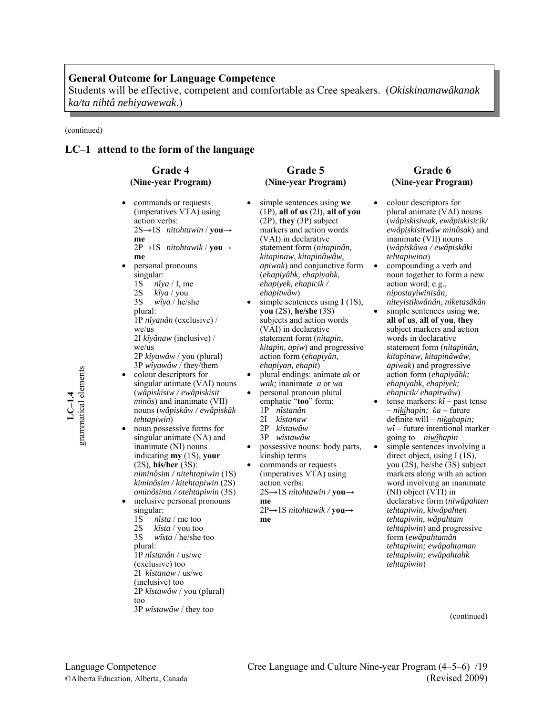Students will be effective, competent and comfortable as Cree speakers. (*Okiskinamawâkanak ka/ta nihtâ nehiyawewak*.)

(continued)

**LC–1.4**  grammatical elements

grammatical elements

#### **LC–1 attend to the form of the language**

## **Grade 4 (Nine-year Program)**

• commands or requests (imperatives VTA) using action verbs: 2S→1S *nitohtawin* / **you→ me** 2P→1S *nitohtawik* / **you→ me** • personal pronouns singular: 1S *nîya* / I, me 2S *kîya* / you 3S *wîya* / he/she plural: 1P *nîyanân* (exclusive) / we/us 2I *kîyânaw* (inclusive) / we/us

2P *kîyawâw* / you (plural) 3P *wîyawâw* / they/them • colour descriptors for singular animate (VAI) nouns

- (*wâpiskisiw / ewâpiskisit minôs*) and inanimate (VII) nouns (*wâpiskâw / ewâpiskâk tehtapiwin*)
- noun possessive forms for singular animate (NA) and inanimate (NI) nouns indicating **my** (1S), **your** (2S), **his/her** (3S): *niminôsim / nitehtapiwin* (1S) *kiminôsim / kitehtapiwin* (2S) *ominôsima / otehtapiwin* (3S)
- inclusive personal pronouns singular:
	- 1S *nîsta |* me too<br>2S *kîsta |* you too
	- 2S *kîsta /* you too<br>3S *wîsta / he/she 1* w*îsta* / he/she too

- plural:
- 1P *nîstanân* / us/we

(exclusive) too 2I *kîstanaw* / us/we

- (inclusive) too
- 2P *kîstawâw* / you (plural)
- too
- 3P *wîstawâw* / they too

# **Grade 5 (Nine-year Program)**

- simple sentences using **we**  (1P), **all of us** (2I), **all of you** (2P), **they** (3P) subject markers and action words (VAI) in declarative statement form (*nitapinân, kitapinaw, kitapinâwâw, apiwak*) and conjunctive form (*ehapiyâhk, ehapiyahk, ehapiyek, ehapicik / ehapitwâw*)
- simple sentences using **I** (1S), **you** (2S), **he/she** (3S) subjects and action words (VAI) in declarative statement form (*nitapin, kitapin, apiw*) and progressive action form (*ehapiyân, ehapiyan, ehapit*)
- plural endings: animate *ak* or *wak;* inanimate *a* or *wa*
- personal pronoun plural emphatic "**too**" form:
	- 1P *nîstanân* 2I *kîstanaw*
	- 2P *kîstawâw*
	- 3P *wîstawâw*
- possessive nouns: body parts,
- kinship terms • commands or requests (imperatives VTA) using action verbs:
- 2S→1S *nitohtawin /* **you→ me**
- 2P→1S *nitohtawik /* **you→ me**

#### **Grade 6 (Nine-year Program)**

- colour descriptors for plural animate (VAI) nouns (*wâpiskisiwak, ewâpiskisicik/ ewâpiskisitwâw minôsak*) and inanimate (VII) nouns (*wâpiskâwa / ewâpiskâki tehtapiwina*)
- compounding a verb and noun together to form a new action word; e.g., *nipostayiwinisân, niteyistikwânân, niketasâkân*
- simple sentences using **we**, **all of us**, **all of you**, **they**  subject markers and action words in declarative statement form (*nitapinân, kitapinaw, kitapinâwâw, apiwak*) and progressive action form (*ehapiyâhk; ehapiyahk, ehapiyek; ehapicik/ ehapitwâw*)
- tense markers:  $k\hat{i}$  past tense – *nikihapin; ka –* future definite will – *nikahapin; wî –* future intentional marker going to – *niwîhapin*
- simple sentences involving a direct object, using I (1S), you (2S), he/she (3S) subject markers along with an action word involving an inanimate (NI) object (VTI) in declarative form (*niwâpahten tehtapiwin, kiwâpahten tehtapiwin, wâpahtam tehtapiwin*) and progressive form (*ewâpahtamân tehtapiwin; ewâpahtaman tehtapiwin; ewâpahtahk tehtapiwin*)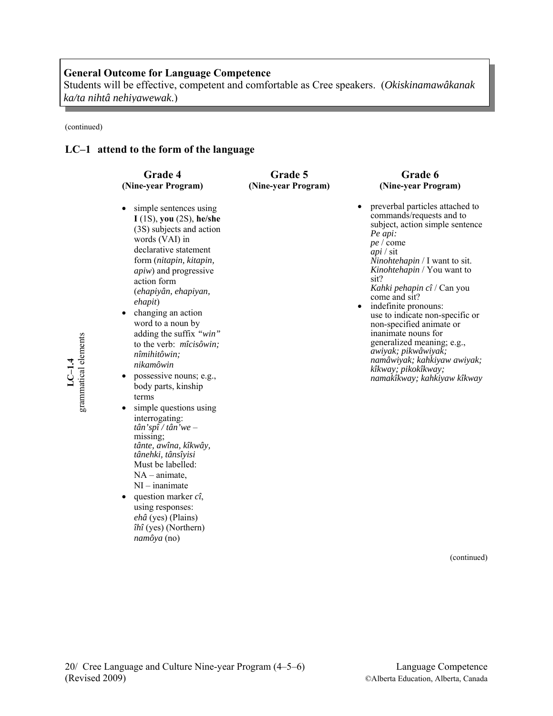Students will be effective, competent and comfortable as Cree speakers. (*Okiskinamawâkanak ka/ta nihtâ nehiyawewak*.)

> **Grade 5 (Nine-year Program)**

(continued)

## **LC–1 attend to the form of the language**

# **Grade 4 (Nine-year Program)**

- simple sentences using **I** (1S), **you** (2S), **he/she** (3S) subjects and action words (VAI) in declarative statement form (*nitapin, kitapin, apiw*) and progressive action form (*ehapiyân, ehapiyan, ehapit*)
- changing an action word to a noun by adding the suffix *"win"* to the verb: *mîcisôwin; nîmihitôwin; nikamôwin*
- possessive nouns; e.g., body parts, kinship terms
- simple questions using interrogating: *tân'spî / tân'we* – missing; *tânte, awîna, kîkwây, tânehki, tânsîyisi* Must be labelled: NA – animate, NI – inanimate
- question marker *cî*, using responses: *ehâ* (yes) (Plains) *îhî* (yes) (Northern) *namôya* (no)

## **Grade 6 (Nine-year Program)**

• preverbal particles attached to commands/requests and to subject, action simple sentence *Pe api: pe* / come *api* / sit *Ninohtehapin* / I want to sit. *Kinohtehapin* / You want to sit? *Kahki pehapin cî* / Can you come and sit? indefinite pronouns:

use to indicate non-specific or non-specified animate or inanimate nouns for generalized meaning; e.g., *awiyak; pikwâwiyak; namâwiyak; kahkiyaw awiyak; kîkway; pikokîkway; namakîkway; kahkiyaw kîkway*

(continued)

grammatical elements grammatical elements **LC–1.4**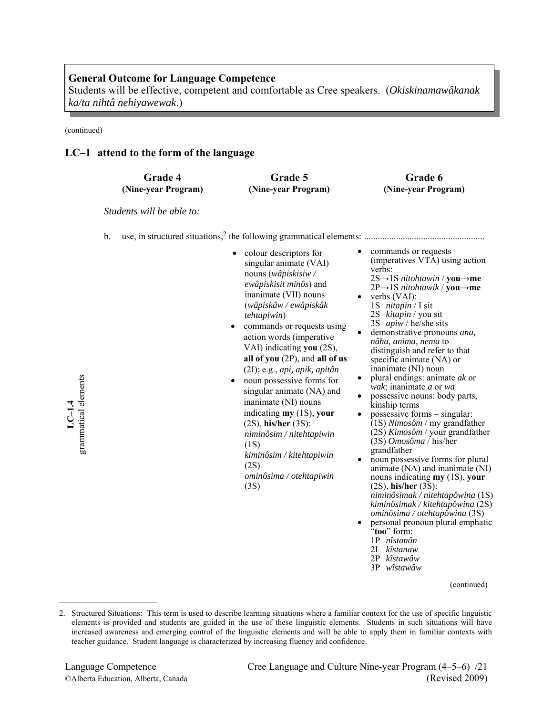Students will be effective, competent and comfortable as Cree speakers. (*Okiskinamawâkanak ka/ta nihtâ nehiyawewak*.)

(continued)

**LC–1.4**  grammatical elements

grammatical elements

## **LC–1 attend to the form of the language**

| <b>Grade 4</b>      | <b>Grade 5</b>      | Grade 6             |
|---------------------|---------------------|---------------------|
| (Nine-year Program) | (Nine-year Program) | (Nine-year Program) |

*Students will be able to:* 

- b. use, in structured situations,<sup>2</sup> the following grammatical elements:  $\ldots$ 
	- colour descriptors for singular animate (VAI) nouns (*wâpiskisiw / ewâpiskisit minôs*) and inanimate (VII) nouns (*wâpiskâw / ewâpiskâk tehtapiwin*)
	- commands or requests using action words (imperative VAI) indicating **you** (2S), **all of you** (2P), and **all of us** (2I); e.g., *api, apik, apitân*
	- noun possessive forms for singular animate (NA) and inanimate (NI) nouns indicating **my** (1S), **your**  (2S), **his/her** (3S): *niminôsim / nitehtapiwin* (1S) *kiminôsim / kitehtapiwin*

(2S) *ominôsima / otehtapiwin* (3S)

- commands or requests (imperatives VTA) using action verbs:
- 2S→1S *nitohtawin* / **you→me** 2P→1S *nitohtawik* / **you→me** verbs (VAI):
- 1S *nitapin* / I sit 2S *kitapin* / you sit
- 3S *apiw* / he/she sits demonstrative pronouns *ana*, *nâha, anima, nema* to distinguish and refer to that specific animate (NA) or<br>inanimate (NI) noun
- plural endings: animate  $ak$  or  $wak$ : inanimate  $a$  or  $wa$
- possessive nouns: body parts, kinship terms
- possessive forms singular: (1S) *Nimosôm* / my grandfather (2S) *Kimosôm* / your grandfather (3S) *Omosôma* / his/her
- noun possessive forms for plural animate (NA) and inanimate (NI) nouns indicating **my** (1S), **your** (2S), **his/her** (3S): *niminôsimak / nitehtapôwina* (1S) *kiminôsimak / kitehtapôwina* (2S) *ominôsima / otehtapôwina* (3S) • personal pronoun plural emphatic
- "**too**" form:
	- 1P *nîstanân*
	- 2I *kîstanaw*
	- 2P *kîstawâw*
	- 3P *wîstawâw*

<sup>2.</sup> Structured Situations: This term is used to describe learning situations where a familiar context for the use of specific linguistic elements is provided and students are guided in the use of these linguistic elements. Students in such situations will have increased awareness and emerging control of the linguistic elements and will be able to apply them in familiar contexts with teacher guidance. Student language is characterized by increasing fluency and confidence.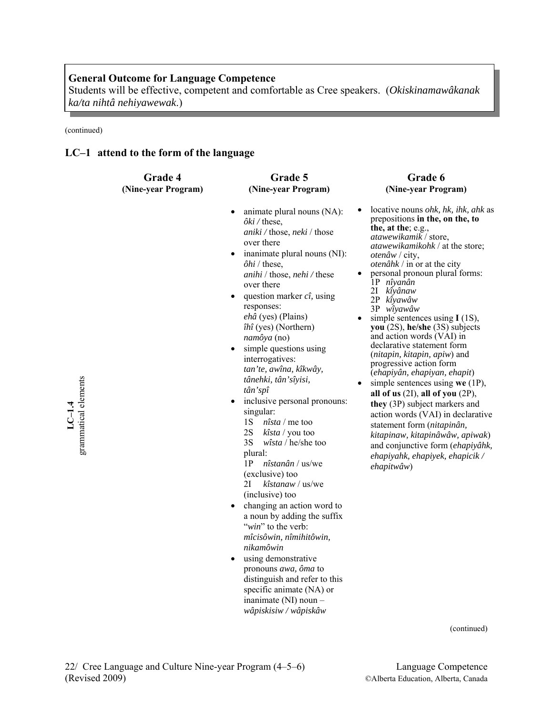Students will be effective, competent and comfortable as Cree speakers. (*Okiskinamawâkanak ka/ta nihtâ nehiyawewak*.)

(continued)

**LC-1.4**<br>grammatical elements grammatical elements

# **LC–1 attend to the form of the language**

| Grade 4             | Grade 5                                                                                                                                                                                                                                                                                                                                                                                                                                                                                                                                                                                                                                                                                                                                                                                                                                                                                                                                 | Grade 6                                                                                                                                                                                                                                                                                                                                                                                                                                                                                                                                                                                                                                                                                                                                                                                                                                                                           |
|---------------------|-----------------------------------------------------------------------------------------------------------------------------------------------------------------------------------------------------------------------------------------------------------------------------------------------------------------------------------------------------------------------------------------------------------------------------------------------------------------------------------------------------------------------------------------------------------------------------------------------------------------------------------------------------------------------------------------------------------------------------------------------------------------------------------------------------------------------------------------------------------------------------------------------------------------------------------------|-----------------------------------------------------------------------------------------------------------------------------------------------------------------------------------------------------------------------------------------------------------------------------------------------------------------------------------------------------------------------------------------------------------------------------------------------------------------------------------------------------------------------------------------------------------------------------------------------------------------------------------------------------------------------------------------------------------------------------------------------------------------------------------------------------------------------------------------------------------------------------------|
| (Nine-year Program) | (Nine-year Program)                                                                                                                                                                                                                                                                                                                                                                                                                                                                                                                                                                                                                                                                                                                                                                                                                                                                                                                     | (Nine-year Program)                                                                                                                                                                                                                                                                                                                                                                                                                                                                                                                                                                                                                                                                                                                                                                                                                                                               |
|                     | animate plural nouns (NA):<br>$\partial ki$ / these,<br>aniki / those, neki / those<br>over there<br>inanimate plural nouns (NI):<br>$\bullet$<br>$\partial h$ <i>i</i> / these,<br>anihi / those, nehi / these<br>over there<br>question marker $c\hat{\imath}$ , using<br>responses:<br>ehâ (yes) (Plains)<br>îhî (yes) (Northern)<br>namôya (no)<br>simple questions using<br>$\bullet$<br>interrogatives:<br>tan'te, awîna, kîkwây,<br>tânehki, tân'sîyisi,<br>tân'spî<br>inclusive personal pronouns:<br>singular:<br>1S<br>$nîsta$ / me too<br>2S<br>$kîsta$ / you too<br>3S<br>$wîsta$ / he/she too<br>plural:<br>1P<br>nîstanân / us/we<br>(exclusive) too<br>kîstanaw / us/we<br>2I<br>(inclusive) too<br>changing an action word to<br>$\bullet$<br>a noun by adding the suffix<br>"win" to the verb:<br>mîcisôwin, nîmihitôwin,<br>nikamôwin<br>using demonstrative<br>pronouns awa, ôma to<br>distinguish and refer to this | locative nouns ohk, hk, ihk, ahk as<br>prepositions in the, on the, to<br>the, at the; $e.g.,$<br><i>atawewikamik</i> / store,<br><i>atawewikamikohk</i> / at the store;<br><i>otenâw</i> / city,<br><i>otenâhk</i> / in or at the city<br>personal pronoun plural forms:<br>1P nîyanân<br>2I<br>kîyânaw<br>2P kîyawâw<br>3P wîyawâw<br>simple sentences using $I(1S)$ ,<br>you $(2S)$ , he/she $(3S)$ subjects<br>and action words (VAI) in<br>declarative statement form<br>(nitapin, kitapin, apiw) and<br>progressive action form<br>(ehapiyân, ehapiyan, ehapit)<br>simple sentences using we $(1P)$ ,<br>all of us $(2I)$ , all of you $(2P)$ ,<br>they (3P) subject markers and<br>action words (VAI) in declarative<br>statement form (nitapinân,<br>kitapinaw, kitapinâwâw, apiwak)<br>and conjunctive form (ehapiyâhk,<br>ehapiyahk, ehapiyek, ehapicik /<br>ehapitwâw) |

specific animate (NA) or inanimate (NI) noun – *wâpiskisiw / wâpiskâw*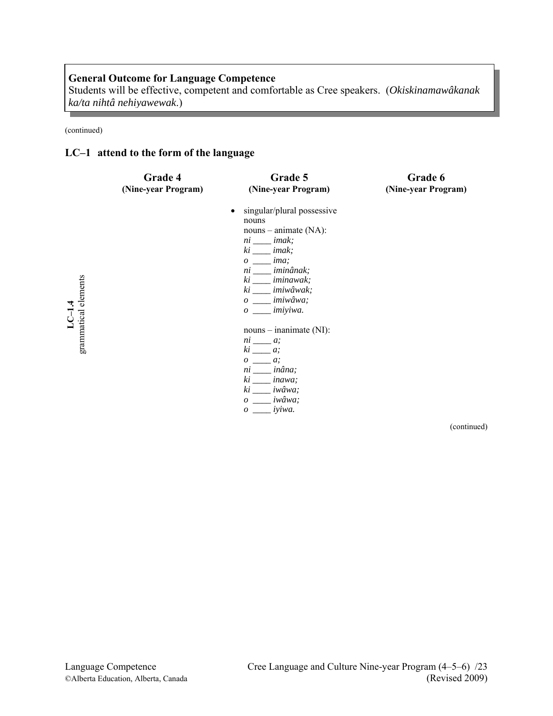Students will be effective, competent and comfortable as Cree speakers. (*Okiskinamawâkanak ka/ta nihtâ nehiyawewak*.)

(continued)

# **LC–1 attend to the form of the language**

|                      | Grade 4<br>(Nine-year Program) | Grade 5<br>(Nine-year Program)                                                                                                                                                                                                      | Grade 6<br>(Nine-year Program) |
|----------------------|--------------------------------|-------------------------------------------------------------------------------------------------------------------------------------------------------------------------------------------------------------------------------------|--------------------------------|
| grammatical elements |                                | singular/plural possessive<br>nouns<br>$nouns - animate (NA):$<br>$ni$ <sub>____</sub> imak;<br>$ki$ _____ imak;<br>$o$ ima;<br>ni ____ iminânak;<br>ki ____ iminawak;<br>ki ____ imiwâwak;<br>o ____ imiwâwa;<br>$o \_\_$ imiyiwa. |                                |
|                      |                                | $nouns - inanimate (NI):$<br>$ni \_\_\_\ a;$<br>$ki \_\_\ a;$<br>$o \underline{\hspace{1cm}} a;$<br>ni ____ inâna;<br>$ki$ <i>inawa</i> ;<br>ki _____ iwâwa;<br>$o \_\_\_\$ iwâwa;<br>$o \_\_\_$ iyiwa.                             |                                |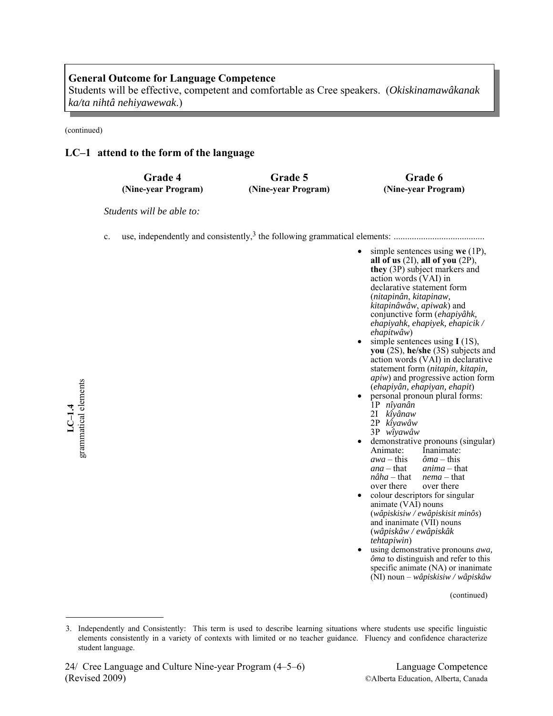Students will be effective, competent and comfortable as Cree speakers. (*Okiskinamawâkanak ka/ta nihtâ nehiyawewak*.)

(continued)

## **LC–1 attend to the form of the language**

**Grade 4 (Nine-year Program)**

**Grade 5 (Nine-year Program)**

**Grade 6 (Nine-year Program)**

*Students will be able to:* 

c. use, independently and consistently,3 the following grammatical elements: ........................................

grammatical elements grammatical elements **LC–1.4** 

- simple sentences using **we** (1P), **all of us** (2I), **all of you** (2P), **they** (3P) subject markers and action words (VAI) in declarative statement form (*nitapinân*, *kitapinaw, kitapinâwâw*, *apiwak*) and conjunctive form (*ehapiyâhk, ehapiyahk, ehapiyek, ehapicik /*
- simple sentences using  $I(1S)$ , **you** (2S), **he/she** (3S) subjects and action words (VAI) in declarative statement form (*nitapin, kitapin, apiw*) and progressive action form<br>(*ehapiyân, ehapiyan, ehapit*)
- (*ehapiyân, ehapiyan, ehapit*) personal pronoun plural forms: 1P *nîyanân* 
	- 2I *kîyânaw*
	- 2P *kîyawâw*
	- 3P *wîyawâw*
- demonstrative pronouns (singular) Animate: Inanimate: *awa* – this *ôma* – this *ana* – that *anima* – that *nâha* – that *nema* – that over there over there
- colour descriptors for singular animate (VAI) nouns (*wâpiskisiw / ewâpiskisit minôs*) and inanimate (VII) nouns (*wâpiskâw / ewâpiskâk tehtapiwin*)
- using demonstrative pronouns *awa, ôma* to distinguish and refer to this specific animate (NA) or inanimate (NI) noun – *wâpiskisiw / wâpiskâw*

<sup>3.</sup> Independently and Consistently: This term is used to describe learning situations where students use specific linguistic elements consistently in a variety of contexts with limited or no teacher guidance. Fluency and confidence characterize student language.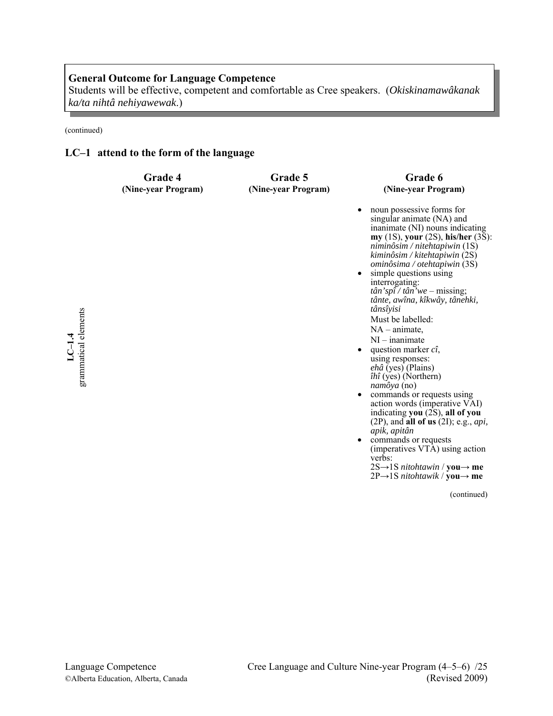Students will be effective, competent and comfortable as Cree speakers. (*Okiskinamawâkanak ka/ta nihtâ nehiyawewak*.)

(continued)

# **LC–1 attend to the form of the language**

| <b>Grade 4</b>      | <b>Grade 5</b>      | Grade 6                                                                                                                                                                                                                                                                                                                                                                                                                                                                                                                                                                                                                                                                                                                                                                                                                               |
|---------------------|---------------------|---------------------------------------------------------------------------------------------------------------------------------------------------------------------------------------------------------------------------------------------------------------------------------------------------------------------------------------------------------------------------------------------------------------------------------------------------------------------------------------------------------------------------------------------------------------------------------------------------------------------------------------------------------------------------------------------------------------------------------------------------------------------------------------------------------------------------------------|
| (Nine-year Program) | (Nine-year Program) | (Nine-year Program)                                                                                                                                                                                                                                                                                                                                                                                                                                                                                                                                                                                                                                                                                                                                                                                                                   |
|                     |                     | noun possessive forms for<br>singular animate (NA) and<br>inanimate (NI) nouns indicating<br>my $(1S)$ , your $(2S)$ , his/her $(3S)$ :<br>$nimi n\delta$ sim / nitehtapiwin (1S)<br>$kimi n\delta$ sim / kitehtapiwin (2S)<br>ominôsima / otehtapiwin (3S)<br>simple questions using<br>interrogating:<br>$t\hat{a}n'sp\hat{i} / t\hat{a}n'we - missing;$<br>tânte, awîna, kîkwây, tânehki,<br>tânsîyisi<br>Must be labelled:<br>$NA$ – animate,<br>$NI$ – inanimate<br>question marker $c\hat{\imath}$ ,<br>using responses:<br>ehâ (yes) (Plains)<br>$\hat{u}$ (yes) (Northern)<br>namôya (no)<br>commands or requests using<br>action words (imperative VAI)<br>indicating you (2S), all of you<br>$(2P)$ , and all of us $(2I)$ ; e.g., api,<br>apik, apitân<br>commands or requests<br>(imperatives VTA) using action<br>verbs: |

(continued)

2S→1S *nitohtawin* / **you→ me** 2P→1S *nitohtawik* / **you→ me**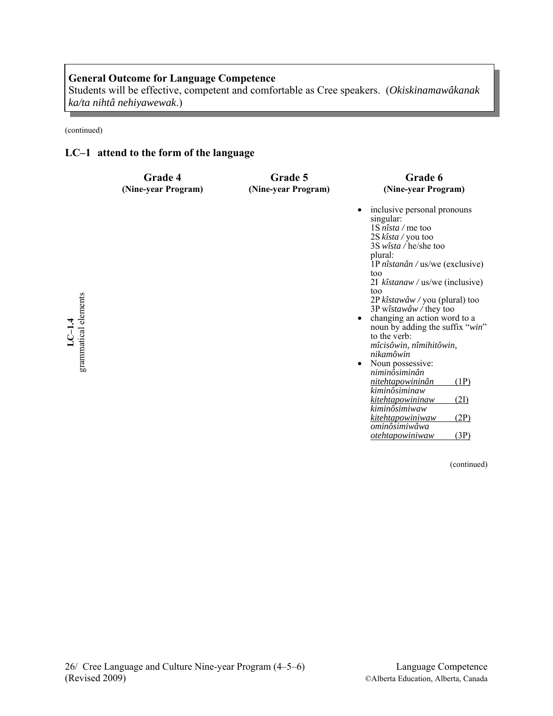Students will be effective, competent and comfortable as Cree speakers. (*Okiskinamawâkanak ka/ta nihtâ nehiyawewak*.)

(continued)

# **LC–1 attend to the form of the language**

|                                  | Grade 4             | Grade 5             | Grade 6                                                                                                                                                                                                                                                                                                                                                                                                                                                                                                                                                                                                                                                                                          |
|----------------------------------|---------------------|---------------------|--------------------------------------------------------------------------------------------------------------------------------------------------------------------------------------------------------------------------------------------------------------------------------------------------------------------------------------------------------------------------------------------------------------------------------------------------------------------------------------------------------------------------------------------------------------------------------------------------------------------------------------------------------------------------------------------------|
|                                  | (Nine-year Program) | (Nine-year Program) | (Nine-year Program)                                                                                                                                                                                                                                                                                                                                                                                                                                                                                                                                                                                                                                                                              |
| grammatical elements<br>$LC-1.4$ |                     |                     | inclusive personal pronouns<br>$\bullet$<br>singular:<br>$1S \text{ nîsta} / \text{me}$ too<br>2S kîsta / you too<br>$3S$ <i>wîsta</i> / he/she too<br>plural:<br>1P nîstanân / us/we (exclusive)<br>too<br>2I kîstanaw / us/we (inclusive)<br>too<br>2P $\hat{k}$ <i>stawâw</i> / you (plural) too<br>3P wîstawâw / they too<br>changing an action word to a<br>$\bullet$<br>noun by adding the suffix "win"<br>to the verb:<br>mîcisôwin, nîmihitôwin,<br>nikamôwin<br>Noun possessive:<br>$\bullet$<br>niminôsiminân<br>(1P)<br>nitehtapowininân<br>kiminôsiminaw<br>kitehtapowininaw<br>(2I)<br>kiminôsimiwaw<br>(2P)<br>kitehtapowiniwaw<br>ominôsimiwâwa<br>(3P)<br><i>otehtapowiniwaw</i> |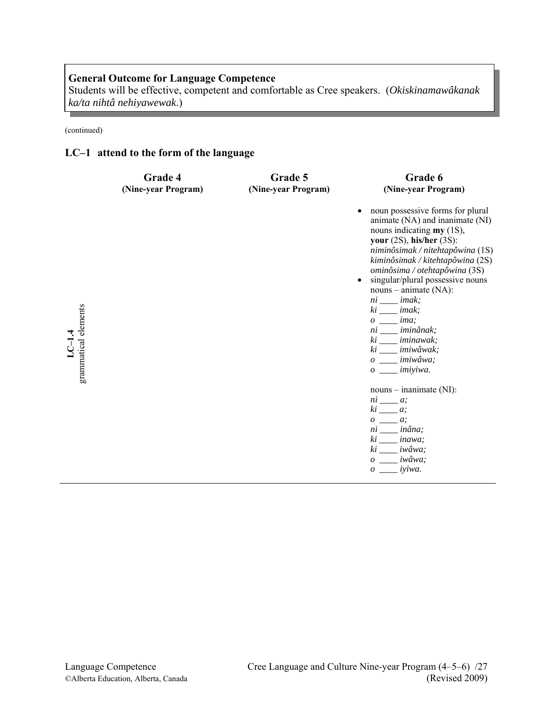Students will be effective, competent and comfortable as Cree speakers. (*Okiskinamawâkanak ka/ta nihtâ nehiyawewak*.)

(continued)

# **LC–1 attend to the form of the language**

|                                   | Grade 4<br>(Nine-year Program) | Grade 5<br>(Nine-year Program) | Grade 6<br>(Nine-year Program)                                                                                                                                                                                                                                                                                                                                                                                                                                                            |
|-----------------------------------|--------------------------------|--------------------------------|-------------------------------------------------------------------------------------------------------------------------------------------------------------------------------------------------------------------------------------------------------------------------------------------------------------------------------------------------------------------------------------------------------------------------------------------------------------------------------------------|
| grammatical elements<br>$L$ C-1.4 |                                |                                | noun possessive forms for plural<br>animate (NA) and inanimate (NI)<br>nouns indicating $my(1S)$ ,<br>your $(2S)$ , his/her $(3S)$ :<br>niminôsimak / nitehtapôwina (1S)<br>kiminôsimak / kitehtapôwina (2S)<br>ominôsima / otehtapôwina (3S)<br>singular/plural possessive nouns<br>$nouns - animate (NA):$<br>$ni$ ____ imak;<br>$ki$ <sub>____</sub> imak;<br>$o \_\_\_$ ima;<br>ni ____ iminânak;<br>ki ____ iminawak;<br>ki ____ imiwâwak;<br>$o \_\_$ imiwâwa;<br>$o \_\_$ imiyiwa. |
|                                   |                                |                                | $nouns - inanimate (NI):$<br>$ni$ <sub>___</sub> a;<br>$ki \_\_\ a;$                                                                                                                                                                                                                                                                                                                                                                                                                      |
|                                   |                                |                                | $o \underline{\hspace{2cm}} a;$<br>$ni$ <sub>___</sub> $in\hat{a}na;$<br>$ki \_\_\$ {inawa;<br>ki ____ iwâwa;<br>o iwâwa:                                                                                                                                                                                                                                                                                                                                                                 |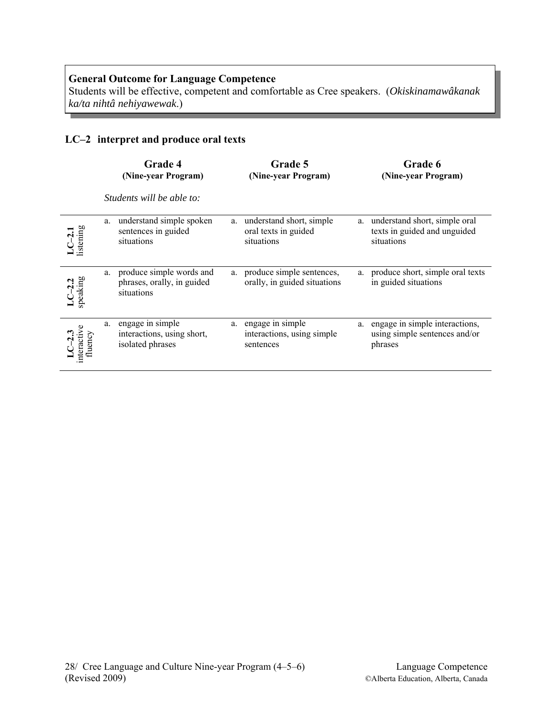Students will be effective, competent and comfortable as Cree speakers. (*Okiskinamawâkanak ka/ta nihtâ nehiyawewak*.)

# **LC–2 interpret and produce oral texts**

|                                    |    | <b>Grade 4</b><br>(Nine-year Program)                                | Grade 5<br>(Nine-year Program)                                    |    | Grade 6<br>(Nine-year Program)                                              |
|------------------------------------|----|----------------------------------------------------------------------|-------------------------------------------------------------------|----|-----------------------------------------------------------------------------|
|                                    |    | Students will be able to:                                            |                                                                   |    |                                                                             |
| $LC-2.1$<br>listening              | a. | understand simple spoken<br>sentences in guided<br>situations        | a. understand short, simple<br>oral texts in guided<br>situations | a. | understand short, simple oral<br>texts in guided and unguided<br>situations |
| LC-2.2<br>speaking                 | a. | produce simple words and<br>phrases, orally, in guided<br>situations | a. produce simple sentences,<br>orally, in guided situations      |    | a. produce short, simple oral texts<br>in guided situations                 |
| $LC-2.3$<br>interactive<br>fluency | а. | engage in simple<br>interactions, using short,<br>isolated phrases   | a. engage in simple<br>interactions, using simple<br>sentences    | a. | engage in simple interactions,<br>using simple sentences and/or<br>phrases  |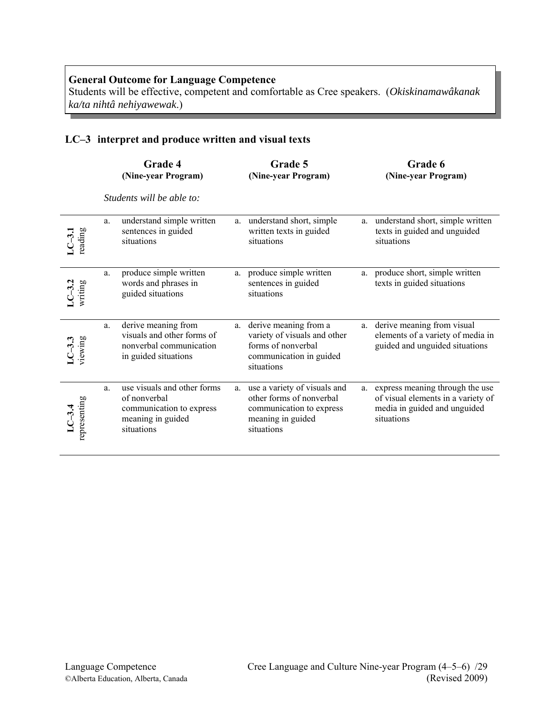Students will be effective, competent and comfortable as Cree speakers. (*Okiskinamawâkanak ka/ta nihtâ nehiyawewak*.)

# **LC–3 interpret and produce written and visual texts**

|                          |    | Grade 4<br>(Nine-year Program)                                                                             |    | Grade 5<br>(Nine-year Program)                                                                                          |    | Grade 6<br>(Nine-year Program)                                                                                         |
|--------------------------|----|------------------------------------------------------------------------------------------------------------|----|-------------------------------------------------------------------------------------------------------------------------|----|------------------------------------------------------------------------------------------------------------------------|
|                          |    | Students will be able to:                                                                                  |    |                                                                                                                         |    |                                                                                                                        |
| reading                  | a. | understand simple written<br>sentences in guided<br>situations                                             |    | a. understand short, simple<br>written texts in guided<br>situations                                                    |    | a. understand short, simple written<br>texts in guided and unguided<br>situations                                      |
| $LC-3.2$<br>writing      | a. | produce simple written<br>words and phrases in<br>guided situations                                        | a. | produce simple written<br>sentences in guided<br>situations                                                             | a. | produce short, simple written<br>texts in guided situations                                                            |
| viewing<br>$LC-3.3$      | a. | derive meaning from<br>visuals and other forms of<br>nonverbal communication<br>in guided situations       | a. | derive meaning from a<br>variety of visuals and other<br>forms of nonverbal<br>communication in guided<br>situations    |    | a. derive meaning from visual<br>elements of a variety of media in<br>guided and unguided situations                   |
| representing<br>$LC-3.4$ | a. | use visuals and other forms<br>of nonverbal<br>communication to express<br>meaning in guided<br>situations | a. | use a variety of visuals and<br>other forms of nonverbal<br>communication to express<br>meaning in guided<br>situations |    | a. express meaning through the use<br>of visual elements in a variety of<br>media in guided and unguided<br>situations |

 $\overline{a}$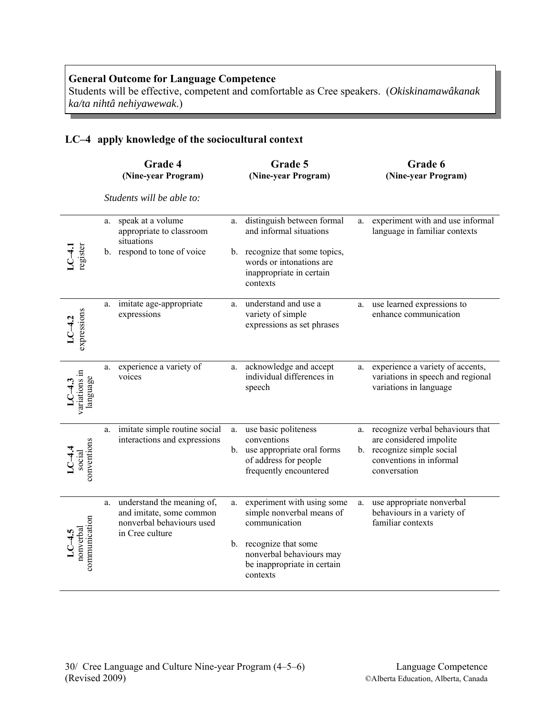Students will be effective, competent and comfortable as Cree speakers. (*Okiskinamawâkanak ka/ta nihtâ nehiyawewak*.)

# **LC–4 apply knowledge of the sociocultural context**

|                                        |    | Grade 4<br>(Nine-year Program)                                                                         |    | Grade 5<br>(Nine-year Program)                                                                                                                                |    | Grade 6<br>(Nine-year Program)                                                                                                       |
|----------------------------------------|----|--------------------------------------------------------------------------------------------------------|----|---------------------------------------------------------------------------------------------------------------------------------------------------------------|----|--------------------------------------------------------------------------------------------------------------------------------------|
|                                        |    | Students will be able to:                                                                              |    |                                                                                                                                                               |    |                                                                                                                                      |
|                                        | a. | speak at a volume<br>appropriate to classroom<br>situations                                            | a. | distinguish between formal<br>and informal situations                                                                                                         | a. | experiment with and use informal<br>language in familiar contexts                                                                    |
| register                               |    | b. respond to tone of voice                                                                            |    | b. recognize that some topics,<br>words or intonations are<br>inappropriate in certain<br>contexts                                                            |    |                                                                                                                                      |
| expressions                            | a. | imitate age-appropriate<br>expressions                                                                 | a. | understand and use a<br>variety of simple<br>expressions as set phrases                                                                                       | a. | use learned expressions to<br>enhance communication                                                                                  |
| variations in<br>language              | a. | experience a variety of<br>voices                                                                      | a. | acknowledge and accept<br>individual differences in<br>speech                                                                                                 | a. | experience a variety of accents,<br>variations in speech and regional<br>variations in language                                      |
| conventions<br>$LC-4.4$ social         | a. | imitate simple routine social<br>interactions and expressions                                          | a. | use basic politeness<br>conventions<br>b. use appropriate oral forms<br>of address for people<br>frequently encountered                                       | a. | recognize verbal behaviours that<br>are considered impolite<br>b. recognize simple social<br>conventions in informal<br>conversation |
| communication<br>$LC-4.5$<br>nonverbal | a. | understand the meaning of,<br>and imitate, some common<br>nonverbal behaviours used<br>in Cree culture | a. | experiment with using some<br>simple nonverbal means of<br>communication<br>b. recognize that some<br>nonverbal behaviours may<br>be inappropriate in certain | a. | use appropriate nonverbal<br>behaviours in a variety of<br>familiar contexts                                                         |
|                                        |    |                                                                                                        |    | contexts                                                                                                                                                      |    |                                                                                                                                      |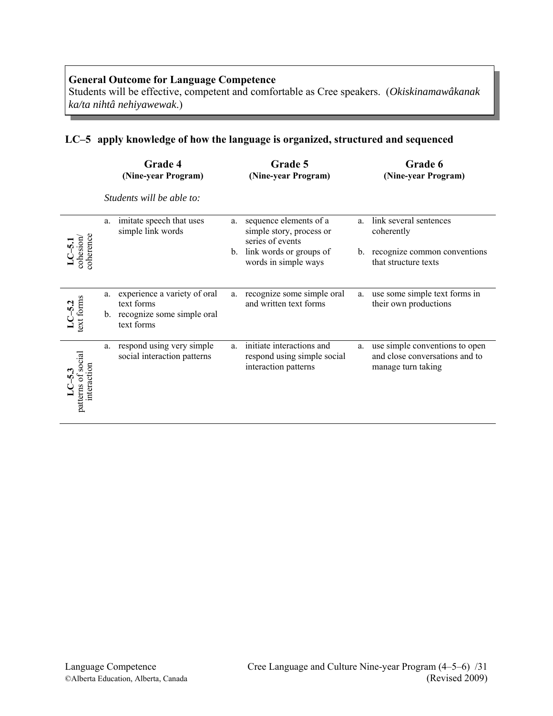Students will be effective, competent and comfortable as Cree speakers. (*Okiskinamawâkanak ka/ta nihtâ nehiyawewak*.)

# **LC–5 apply knowledge of how the language is organized, structured and sequenced**

|                                      |    | Grade 4<br>(Nine-year Program)                                                            |               | Grade 5<br>(Nine-year Program)                                                                                            |               | Grade 6<br>(Nine-year Program)                                                               |
|--------------------------------------|----|-------------------------------------------------------------------------------------------|---------------|---------------------------------------------------------------------------------------------------------------------------|---------------|----------------------------------------------------------------------------------------------|
|                                      |    | Students will be able to:                                                                 |               |                                                                                                                           |               |                                                                                              |
| <b>oherence</b><br>cohesion          | a. | imitate speech that uses<br>simple link words                                             | a.<br>$b_{-}$ | sequence elements of a<br>simple story, process or<br>series of events<br>link words or groups of<br>words in simple ways | a.<br>$b_{-}$ | link several sentences<br>coherently<br>recognize common conventions<br>that structure texts |
| $LC$ -5.2<br>text forms              | a. | experience a variety of oral<br>text forms<br>b. recognize some simple oral<br>text forms | a.            | recognize some simple oral<br>and written text forms                                                                      | a.            | use some simple text forms in<br>their own productions                                       |
| social<br>interaction<br>patterns of | a. | respond using very simple<br>social interaction patterns                                  | a.            | initiate interactions and<br>respond using simple social<br>interaction patterns                                          | a.            | use simple conventions to open<br>and close conversations and to<br>manage turn taking       |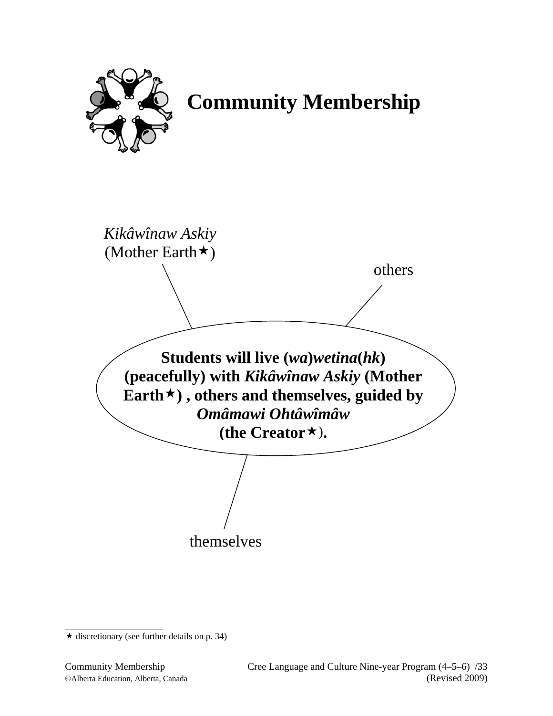

 **Community Membership** 

**Students will live (***wa***)***wetina***(***hk***) (peacefully) with** *Kikâwînaw Askiy* **(Mother Earth) , others and themselves, guided by**  *Omâmawi Ohtâwîmâw* **(the Creator**)**.** *Kikâwînaw Askiy* (Mother Earth $\star$ ) themselves others

 $\star$  discretionary (see further details on p. 34)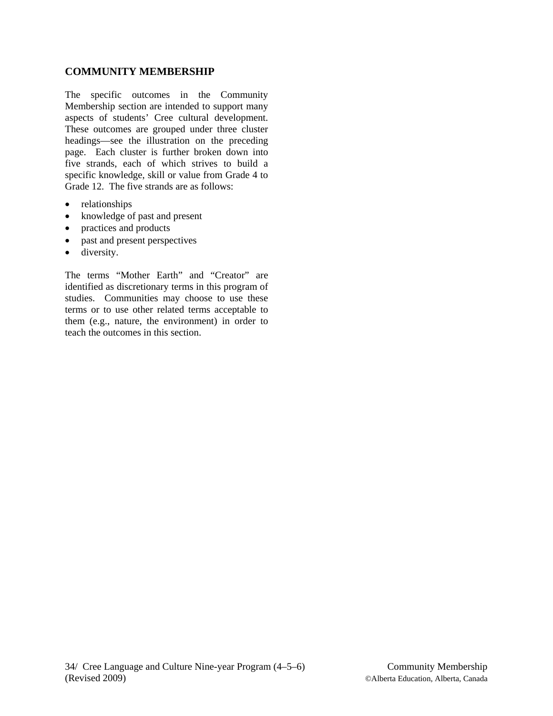# **COMMUNITY MEMBERSHIP**

The specific outcomes in the Community Membership section are intended to support many aspects of students' Cree cultural development. These outcomes are grouped under three cluster headings—see the illustration on the preceding page. Each cluster is further broken down into five strands, each of which strives to build a specific knowledge, skill or value from Grade 4 to Grade 12. The five strands are as follows:

- relationships
- knowledge of past and present
- practices and products
- past and present perspectives
- diversity.

The terms "Mother Earth" and "Creator" are identified as discretionary terms in this program of studies. Communities may choose to use these terms or to use other related terms acceptable to them (e.g., nature, the environment) in order to teach the outcomes in this section.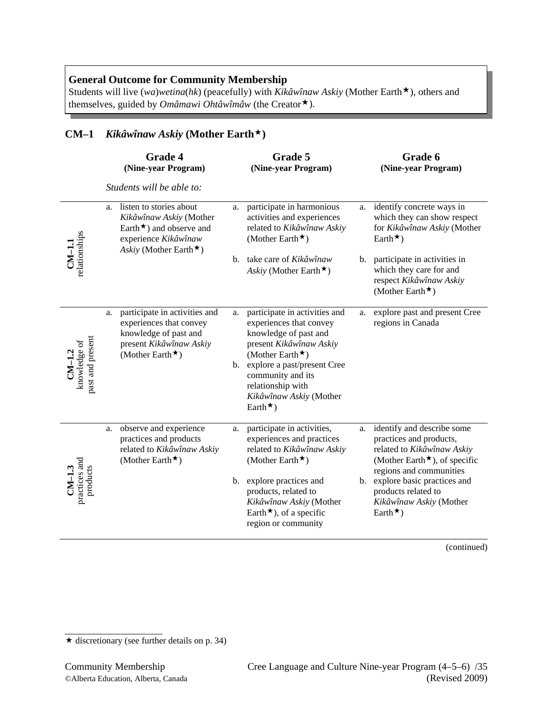Students will live (*wa*)*wetina*(*hk*) (peacefully) with *Kikâwînaw Askiy* (Mother Earth  $\star$ ), others and themselves, guided by *Omâmawi Ohtâwîmâw* (the Creator $\star$ ).

# **CM–1** *Kikâwînaw Askiy* **(Mother Earth)**

|                                           |    | Grade 4<br>(Nine-year Program)                                                                                                                 |                      | Grade 5<br>(Nine-year Program)                                                                                                                                                                                                                                 |    | Grade 6<br>(Nine-year Program)                                                                                                                                                                                                                                |
|-------------------------------------------|----|------------------------------------------------------------------------------------------------------------------------------------------------|----------------------|----------------------------------------------------------------------------------------------------------------------------------------------------------------------------------------------------------------------------------------------------------------|----|---------------------------------------------------------------------------------------------------------------------------------------------------------------------------------------------------------------------------------------------------------------|
|                                           |    | Students will be able to:                                                                                                                      |                      |                                                                                                                                                                                                                                                                |    |                                                                                                                                                                                                                                                               |
|                                           | a. | listen to stories about<br>Kikâwînaw Askiy (Mother<br>Earth $\star$ ) and observe and<br>experience Kikâwînaw<br>Askiy (Mother Earth $\star$ ) | a.                   | participate in harmonious<br>activities and experiences<br>related to Kikâwînaw Askiy<br>(Mother Earth $\star$ )                                                                                                                                               | a. | identify concrete ways in<br>which they can show respect<br>for Kikâwînaw Askiy (Mother<br>Earth $\star$ )                                                                                                                                                    |
| CM-1.1<br>relationships                   |    |                                                                                                                                                |                      | b. take care of Kikâwînaw<br>Askiy (Mother Earth $\star$ )                                                                                                                                                                                                     |    | b. participate in activities in<br>which they care for and<br>respect Kikâwînaw Askiy<br>(Mother Earth $\star$ )                                                                                                                                              |
| past and present<br>$CM-1.2$ knowledge of | a. | participate in activities and<br>experiences that convey<br>knowledge of past and<br>present Kikâwînaw Askiy<br>(Mother Earth $\star$ )        | a.<br>$\mathbf{b}$ . | participate in activities and<br>experiences that convey<br>knowledge of past and<br>present Kikâwînaw Askiy<br>(Mother Earth $\star$ )<br>explore a past/present Cree<br>community and its<br>relationship with<br>Kikâwînaw Askiy (Mother<br>Earth $\star$ ) | a. | explore past and present Cree<br>regions in Canada                                                                                                                                                                                                            |
| $CM-1.3$ practices and<br>products        | a. | observe and experience<br>practices and products<br>related to Kikâwînaw Askiy<br>(Mother Earth $\star$ )                                      | a.<br>b.             | participate in activities,<br>experiences and practices<br>related to Kikâwînaw Askiy<br>(Mother Earth $\star$ )<br>explore practices and<br>products, related to<br>Kikâwînaw Askiy (Mother<br>Earth $\star$ ), of a specific<br>region or community          | a. | identify and describe some<br>practices and products,<br>related to Kikâwînaw Askiy<br>(Mother Earth $\star$ ), of specific<br>regions and communities<br>b. explore basic practices and<br>products related to<br>Kikâwînaw Askiy (Mother<br>Earth $\star$ ) |

 $\star$  discretionary (see further details on p. 34)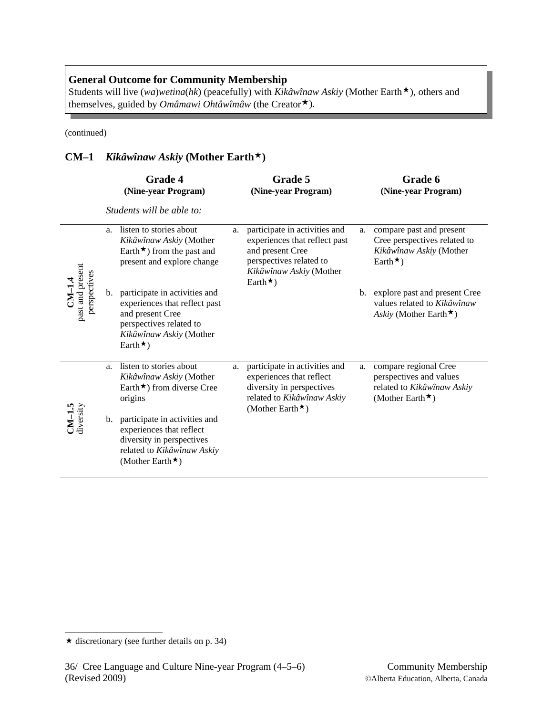Students will live (*wa*)*wetina*(*hk*) (peacefully) with  $\overrightarrow{Kikawinaw}$  Askiy (Mother Earth  $\star$ ), others and themselves, guided by *Omâmawi Ohtâwîmâw* (the Creator<sup>\*</sup>).

(continued)

# **CM–1** *Kikâwînaw Askiy* **(Mother Earth)**

|                                              |    | Grade 4<br>(Nine-year Program)                                                                                                                              |    | Grade 5<br>(Nine-year Program)                                                                                                                              |    | Grade 6<br>(Nine-year Program)                                                                            |
|----------------------------------------------|----|-------------------------------------------------------------------------------------------------------------------------------------------------------------|----|-------------------------------------------------------------------------------------------------------------------------------------------------------------|----|-----------------------------------------------------------------------------------------------------------|
|                                              |    | Students will be able to:                                                                                                                                   |    |                                                                                                                                                             |    |                                                                                                           |
|                                              | a. | listen to stories about<br>Kikâwînaw Askiy (Mother<br>Earth $\star$ ) from the past and<br>present and explore change                                       | a. | participate in activities and<br>experiences that reflect past<br>and present Cree<br>perspectives related to<br>Kikâwînaw Askiy (Mother<br>Earth $\star$ ) | a. | compare past and present<br>Cree perspectives related to<br>Kikâwînaw Askiy (Mother<br>Earth $\star$ )    |
| past and present<br>perspectives<br>$CM-1.4$ | b. | participate in activities and<br>experiences that reflect past<br>and present Cree<br>perspectives related to<br>Kikâwînaw Askiy (Mother<br>Earth $\star$ ) |    |                                                                                                                                                             |    | b. explore past and present Cree<br>values related to Kikâwînaw<br>Askiy (Mother Earth $\star$ )          |
| $CM-1.5$ diversity                           | a. | listen to stories about<br>Kikâwînaw Askiy (Mother<br>Earth $\star$ ) from diverse Cree<br>origins                                                          | a. | participate in activities and<br>experiences that reflect<br>diversity in perspectives<br>related to Kikâwînaw Askiy<br>(Mother Earth $\star$ )             | a. | compare regional Cree<br>perspectives and values<br>related to Kikâwînaw Askiy<br>(Mother Earth $\star$ ) |
|                                              |    | b. participate in activities and<br>experiences that reflect<br>diversity in perspectives<br>related to Kikâwînaw Askiy<br>(Mother Earth $\star$ )          |    |                                                                                                                                                             |    |                                                                                                           |

 $\star$  discretionary (see further details on p. 34)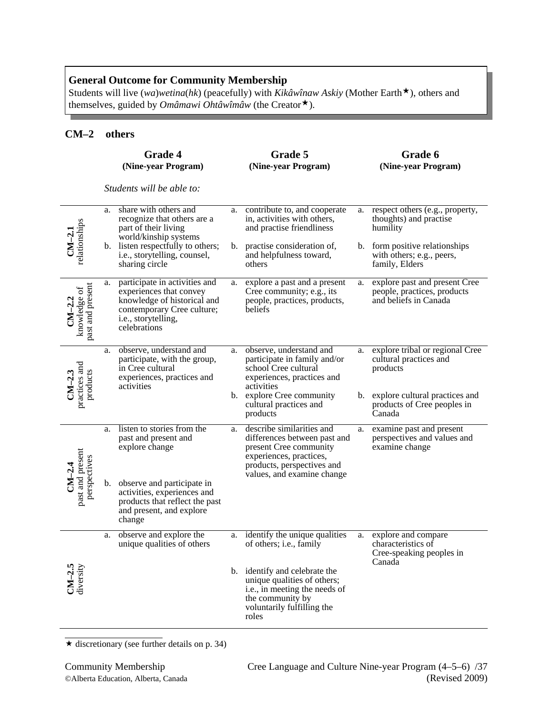Students will live (*wa*)*wetina*(*hk*) (peacefully) with *Kikâwînaw Askiy* (Mother Earth  $\star$ ), others and themselves, guided by *Omâmawi Ohtâwîmâw* (the Creator $\star$ ).

## **CM–2 others**

|                                              |    | Grade 4<br>(Nine-year Program)                                                                                                                               |    | Grade 5<br>(Nine-year Program)                                                                                                                                             |                   | Grade 6<br>(Nine-year Program)                                                                          |
|----------------------------------------------|----|--------------------------------------------------------------------------------------------------------------------------------------------------------------|----|----------------------------------------------------------------------------------------------------------------------------------------------------------------------------|-------------------|---------------------------------------------------------------------------------------------------------|
|                                              |    | Students will be able to:                                                                                                                                    |    |                                                                                                                                                                            |                   |                                                                                                         |
|                                              | a. | share with others and<br>recognize that others are a<br>part of their living<br>world/kinship systems                                                        | a. | contribute to, and cooperate<br>in, activities with others,<br>and practise friendliness                                                                                   | a.                | respect others (e.g., property,<br>thoughts) and practise<br>humility                                   |
| relationships<br>$CM-2.1$                    |    | b. listen respectfully to others;<br>i.e., storytelling, counsel,<br>sharing circle                                                                          | b. | practise consideration of,<br>and helpfulness toward,<br>others                                                                                                            |                   | b. form positive relationships<br>with others; e.g., peers,<br>family, Elders                           |
| past and present<br>knowledge of<br>$CM-2.2$ | a. | participate in activities and<br>experiences that convey<br>knowledge of historical and<br>contemporary Cree culture;<br>i.e., storytelling,<br>celebrations | a. | explore a past and a present<br>Cree community; e.g., its<br>people, practices, products,<br>beliefs                                                                       | a.                | explore past and present Cree<br>people, practices, products<br>and beliefs in Canada                   |
| practices and<br>products<br>$CM-2.3$        | a. | observe, understand and<br>participate, with the group,<br>in Cree cultural<br>experiences, practices and<br>activities                                      | a. | observe, understand and<br>participate in family and/or<br>school Cree cultural<br>experiences, practices and<br>activities<br>b. explore Cree community                   | a.<br>$b_{\cdot}$ | explore tribal or regional Cree<br>cultural practices and<br>products<br>explore cultural practices and |
|                                              |    |                                                                                                                                                              |    | cultural practices and<br>products                                                                                                                                         |                   | products of Cree peoples in<br>Canada                                                                   |
| past and present<br>perspectives<br>$CM-2.4$ | a. | listen to stories from the<br>past and present and<br>explore change                                                                                         | a. | describe similarities and<br>differences between past and<br>present Cree community<br>experiences, practices,<br>products, perspectives and<br>values, and examine change | a.                | examine past and present<br>perspectives and values and<br>examine change                               |
|                                              |    | b. observe and participate in<br>activities, experiences and<br>products that reflect the past<br>and present, and explore<br>change                         |    |                                                                                                                                                                            |                   |                                                                                                         |
|                                              | a. | observe and explore the<br>unique qualities of others                                                                                                        | a. | identify the unique qualities<br>of others; i.e., family                                                                                                                   | a.                | explore and compare<br>characteristics of<br>Cree-speaking peoples in<br>Canada                         |
| $CM-2.5$<br>diversity                        |    |                                                                                                                                                              |    | b. identify and celebrate the<br>unique qualities of others;<br>i.e., in meeting the needs of<br>the community by<br>voluntarily fulfilling the<br>roles                   |                   |                                                                                                         |

 $\star$  discretionary (see further details on p. 34)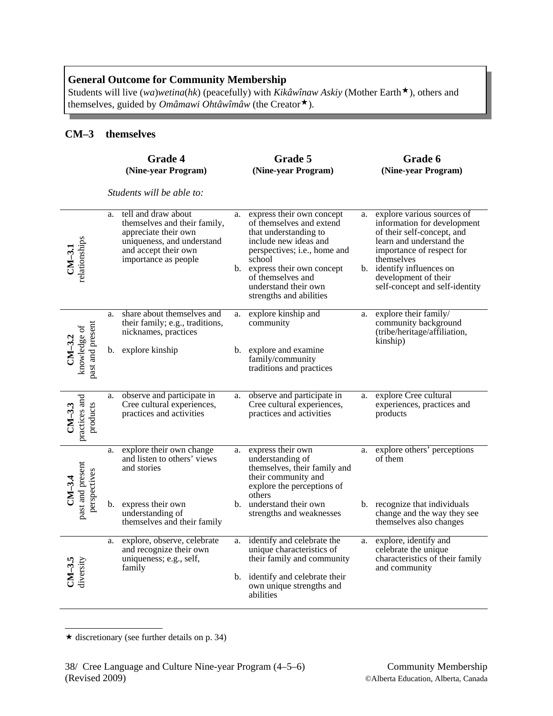Students will live (*wa*)*wetina*(*hk*) (peacefully) with *Kikâwînaw Askiy* (Mother Earth  $\star$ ), others and themselves, guided by *Omâmawi Ohtâwîmâw* (the Creator $\star$ ).

# **CM–3 themselves**

|                                              |    | Grade 4<br>(Nine-year Program)                                                                                                                            |    | Grade 5<br>(Nine-year Program)                                                                                                                                                                                                                            |    | Grade 6<br>(Nine-year Program)                                                                                                                                                                                                                        |
|----------------------------------------------|----|-----------------------------------------------------------------------------------------------------------------------------------------------------------|----|-----------------------------------------------------------------------------------------------------------------------------------------------------------------------------------------------------------------------------------------------------------|----|-------------------------------------------------------------------------------------------------------------------------------------------------------------------------------------------------------------------------------------------------------|
|                                              |    | Students will be able to:                                                                                                                                 |    |                                                                                                                                                                                                                                                           |    |                                                                                                                                                                                                                                                       |
| relationships<br>$CM-3.1$                    | a. | tell and draw about<br>themselves and their family,<br>appreciate their own<br>uniqueness, and understand<br>and accept their own<br>importance as people | a. | express their own concept<br>of themselves and extend<br>that understanding to<br>include new ideas and<br>perspectives; i.e., home and<br>school<br>b. express their own concept<br>of themselves and<br>understand their own<br>strengths and abilities | a. | explore various sources of<br>information for development<br>of their self-concept, and<br>learn and understand the<br>importance of respect for<br>themselves<br>b. identify influences on<br>development of their<br>self-concept and self-identity |
|                                              | a. | share about themselves and<br>their family; e.g., traditions,<br>nicknames, practices                                                                     | a. | explore kinship and<br>community                                                                                                                                                                                                                          | a. | explore their family/<br>community background<br>(tribe/heritage/affiliation,<br>kinship)                                                                                                                                                             |
| past and present<br>knowledge of<br>$CM-3.2$ |    | b. explore kinship                                                                                                                                        |    | b. explore and examine<br>family/community<br>traditions and practices                                                                                                                                                                                    |    |                                                                                                                                                                                                                                                       |
| practices and<br>$CM-3.3$<br>products        | a. | observe and participate in<br>Cree cultural experiences,<br>practices and activities                                                                      | a. | observe and participate in<br>Cree cultural experiences,<br>practices and activities                                                                                                                                                                      | a. | explore Cree cultural<br>experiences, practices and<br>products                                                                                                                                                                                       |
| past and present<br>perspectives<br>$CM-3.4$ | a. | explore their own change<br>and listen to others' views<br>and stories                                                                                    | a. | express their own<br>understanding of<br>themselves, their family and<br>their community and<br>explore the perceptions of<br>others                                                                                                                      | a. | explore others' perceptions<br>of them                                                                                                                                                                                                                |
|                                              | b. | express their own<br>understanding of<br>themselves and their family                                                                                      |    | b. understand their own<br>strengths and weaknesses                                                                                                                                                                                                       |    | b. recognize that individuals<br>change and the way they see<br>themselves also changes                                                                                                                                                               |
| $CM-3.5$<br>diversity                        | a. | explore, observe, celebrate<br>and recognize their own<br>uniqueness; e.g., self,<br>family                                                               | a. | identify and celebrate the<br>unique characteristics of<br>their family and community<br>b. identify and celebrate their<br>own unique strengths and<br>abilities                                                                                         | a. | explore, identify and<br>celebrate the unique<br>characteristics of their family<br>and community                                                                                                                                                     |

 $\star$  discretionary (see further details on p. 34)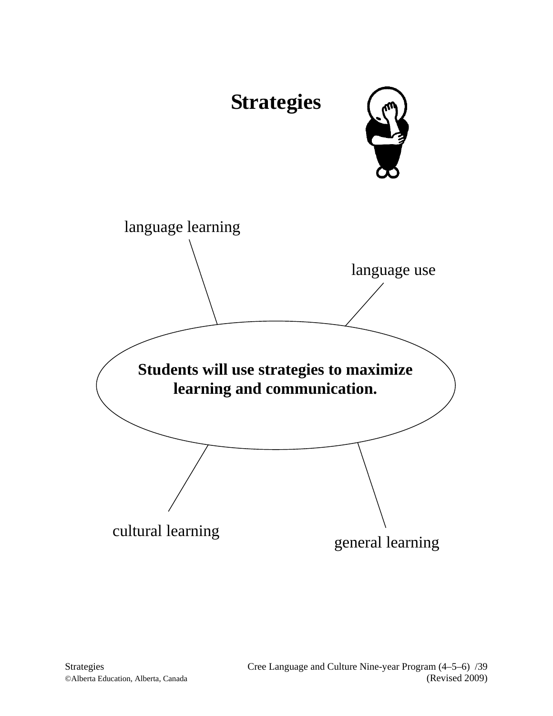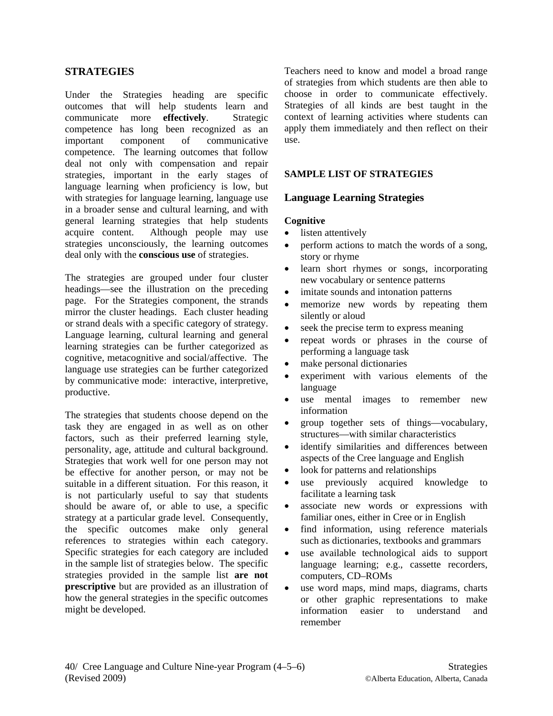## **STRATEGIES**

Under the Strategies heading are specific outcomes that will help students learn and communicate more **effectively**. Strategic competence has long been recognized as an important component of communicative competence. The learning outcomes that follow deal not only with compensation and repair strategies, important in the early stages of language learning when proficiency is low, but with strategies for language learning, language use in a broader sense and cultural learning, and with general learning strategies that help students acquire content. Although people may use strategies unconsciously, the learning outcomes deal only with the **conscious use** of strategies.

The strategies are grouped under four cluster headings—see the illustration on the preceding page. For the Strategies component, the strands mirror the cluster headings. Each cluster heading or strand deals with a specific category of strategy. Language learning, cultural learning and general learning strategies can be further categorized as cognitive, metacognitive and social/affective. The language use strategies can be further categorized by communicative mode: interactive, interpretive, productive.

The strategies that students choose depend on the task they are engaged in as well as on other factors, such as their preferred learning style, personality, age, attitude and cultural background. Strategies that work well for one person may not be effective for another person, or may not be suitable in a different situation. For this reason, it is not particularly useful to say that students should be aware of, or able to use, a specific strategy at a particular grade level. Consequently, the specific outcomes make only general references to strategies within each category. Specific strategies for each category are included in the sample list of strategies below. The specific strategies provided in the sample list **are not prescriptive** but are provided as an illustration of how the general strategies in the specific outcomes might be developed.

Teachers need to know and model a broad range of strategies from which students are then able to choose in order to communicate effectively. Strategies of all kinds are best taught in the context of learning activities where students can apply them immediately and then reflect on their use.

## **SAMPLE LIST OF STRATEGIES**

## **Language Learning Strategies**

#### **Cognitive**

- listen attentively
- perform actions to match the words of a song, story or rhyme
- learn short rhymes or songs, incorporating new vocabulary or sentence patterns
- imitate sounds and intonation patterns
- memorize new words by repeating them silently or aloud
- seek the precise term to express meaning
- repeat words or phrases in the course of performing a language task
- make personal dictionaries
- experiment with various elements of the language
- use mental images to remember new information
- group together sets of things—vocabulary, structures—with similar characteristics
- identify similarities and differences between aspects of the Cree language and English
- look for patterns and relationships
- use previously acquired knowledge to facilitate a learning task
- associate new words or expressions with familiar ones, either in Cree or in English
- find information, using reference materials such as dictionaries, textbooks and grammars
- use available technological aids to support language learning; e.g., cassette recorders, computers, CD–ROMs
- use word maps, mind maps, diagrams, charts or other graphic representations to make information easier to understand and remember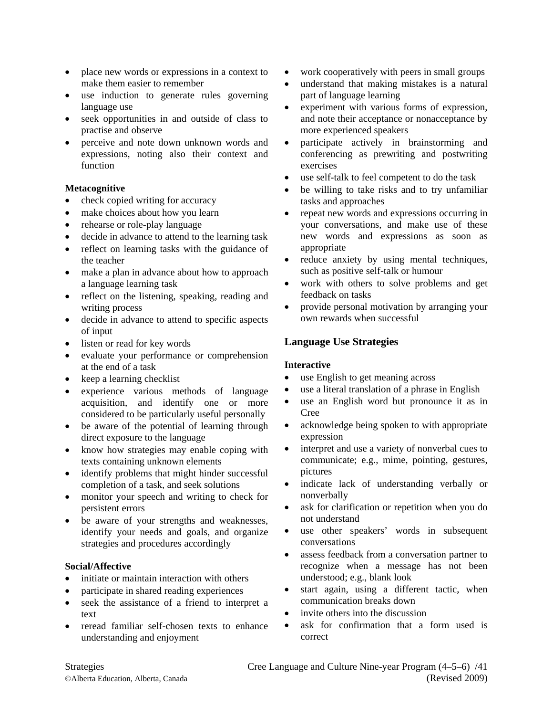- place new words or expressions in a context to make them easier to remember
- use induction to generate rules governing language use
- seek opportunities in and outside of class to practise and observe
- perceive and note down unknown words and expressions, noting also their context and function

## **Metacognitive**

- check copied writing for accuracy
- make choices about how you learn
- rehearse or role-play language
- decide in advance to attend to the learning task
- reflect on learning tasks with the guidance of the teacher
- make a plan in advance about how to approach a language learning task
- reflect on the listening, speaking, reading and writing process
- decide in advance to attend to specific aspects of input
- listen or read for key words
- evaluate your performance or comprehension at the end of a task
- keep a learning checklist
- experience various methods of language acquisition, and identify one or more considered to be particularly useful personally
- be aware of the potential of learning through direct exposure to the language
- know how strategies may enable coping with texts containing unknown elements
- identify problems that might hinder successful completion of a task, and seek solutions
- monitor your speech and writing to check for persistent errors
- be aware of your strengths and weaknesses, identify your needs and goals, and organize strategies and procedures accordingly

## **Social/Affective**

- initiate or maintain interaction with others
- participate in shared reading experiences
- seek the assistance of a friend to interpret a text
- reread familiar self-chosen texts to enhance understanding and enjoyment
- work cooperatively with peers in small groups
- understand that making mistakes is a natural part of language learning
- experiment with various forms of expression, and note their acceptance or nonacceptance by more experienced speakers
- participate actively in brainstorming and conferencing as prewriting and postwriting exercises
- use self-talk to feel competent to do the task
- be willing to take risks and to try unfamiliar tasks and approaches
- repeat new words and expressions occurring in your conversations, and make use of these new words and expressions as soon as appropriate
- reduce anxiety by using mental techniques, such as positive self-talk or humour
- work with others to solve problems and get feedback on tasks
- provide personal motivation by arranging your own rewards when successful

# **Language Use Strategies**

## **Interactive**

- use English to get meaning across
- use a literal translation of a phrase in English
- use an English word but pronounce it as in Cree
- acknowledge being spoken to with appropriate expression
- interpret and use a variety of nonverbal cues to communicate; e.g., mime, pointing, gestures, pictures
- indicate lack of understanding verbally or nonverbally
- ask for clarification or repetition when you do not understand
- use other speakers' words in subsequent conversations
- assess feedback from a conversation partner to recognize when a message has not been understood; e.g., blank look
- start again, using a different tactic, when communication breaks down
- invite others into the discussion
- ask for confirmation that a form used is correct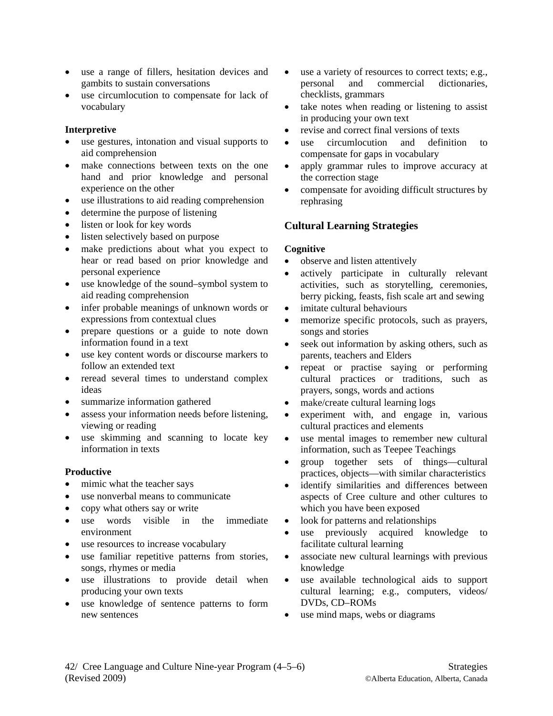- use a range of fillers, hesitation devices and gambits to sustain conversations
- use circumlocution to compensate for lack of vocabulary

## **Interpretive**

- use gestures, intonation and visual supports to aid comprehension
- make connections between texts on the one hand and prior knowledge and personal experience on the other
- use illustrations to aid reading comprehension
- determine the purpose of listening
- listen or look for key words
- listen selectively based on purpose
- make predictions about what you expect to hear or read based on prior knowledge and personal experience
- use knowledge of the sound–symbol system to aid reading comprehension
- infer probable meanings of unknown words or expressions from contextual clues
- prepare questions or a guide to note down information found in a text
- use key content words or discourse markers to follow an extended text
- reread several times to understand complex ideas
- summarize information gathered
- assess your information needs before listening, viewing or reading
- use skimming and scanning to locate key information in texts

## **Productive**

- mimic what the teacher says
- use nonverbal means to communicate
- copy what others say or write
- use words visible in the immediate environment
- use resources to increase vocabulary
- use familiar repetitive patterns from stories, songs, rhymes or media
- use illustrations to provide detail when producing your own texts
- use knowledge of sentence patterns to form new sentences
- use a variety of resources to correct texts; e.g., personal and commercial dictionaries, checklists, grammars
- take notes when reading or listening to assist in producing your own text
- revise and correct final versions of texts
- use circumlocution and definition to compensate for gaps in vocabulary
- apply grammar rules to improve accuracy at the correction stage
- compensate for avoiding difficult structures by rephrasing

# **Cultural Learning Strategies**

## **Cognitive**

- observe and listen attentively
- actively participate in culturally relevant activities, such as storytelling, ceremonies, berry picking, feasts, fish scale art and sewing
- imitate cultural behaviours
- memorize specific protocols, such as prayers, songs and stories
- seek out information by asking others, such as parents, teachers and Elders
- repeat or practise saying or performing cultural practices or traditions, such as prayers, songs, words and actions
- make/create cultural learning logs
- experiment with, and engage in, various cultural practices and elements
- use mental images to remember new cultural information, such as Teepee Teachings
- group together sets of things—cultural practices, objects—with similar characteristics
- identify similarities and differences between aspects of Cree culture and other cultures to which you have been exposed
- look for patterns and relationships
- use previously acquired knowledge to facilitate cultural learning
- associate new cultural learnings with previous knowledge
- use available technological aids to support cultural learning; e.g., computers, videos/ DVDs, CD–ROMs
- use mind maps, webs or diagrams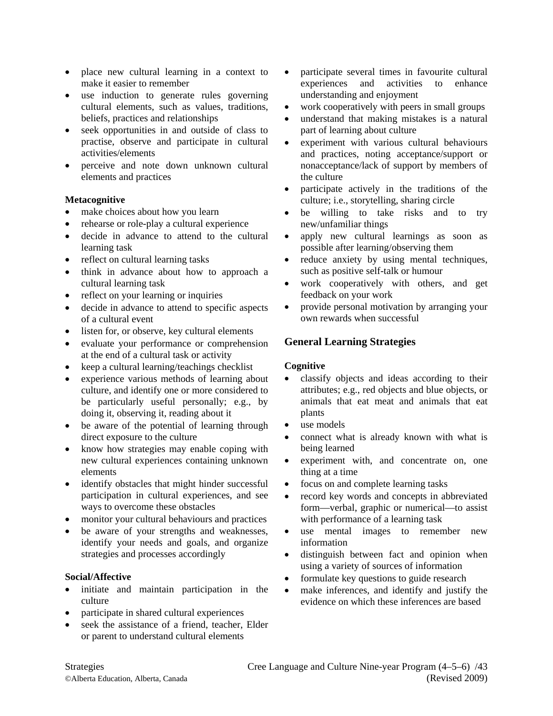- place new cultural learning in a context to make it easier to remember
- use induction to generate rules governing cultural elements, such as values, traditions, beliefs, practices and relationships
- seek opportunities in and outside of class to practise, observe and participate in cultural activities/elements
- perceive and note down unknown cultural elements and practices

## **Metacognitive**

- make choices about how you learn
- rehearse or role-play a cultural experience
- decide in advance to attend to the cultural learning task
- reflect on cultural learning tasks
- think in advance about how to approach a cultural learning task
- reflect on your learning or inquiries
- decide in advance to attend to specific aspects of a cultural event
- listen for, or observe, key cultural elements
- evaluate your performance or comprehension at the end of a cultural task or activity
- keep a cultural learning/teachings checklist
- experience various methods of learning about culture, and identify one or more considered to be particularly useful personally; e.g., by doing it, observing it, reading about it
- be aware of the potential of learning through direct exposure to the culture
- know how strategies may enable coping with new cultural experiences containing unknown elements
- identify obstacles that might hinder successful participation in cultural experiences, and see ways to overcome these obstacles
- monitor your cultural behaviours and practices
- be aware of your strengths and weaknesses, identify your needs and goals, and organize strategies and processes accordingly

## **Social/Affective**

- initiate and maintain participation in the culture
- participate in shared cultural experiences
- seek the assistance of a friend, teacher, Elder or parent to understand cultural elements
- participate several times in favourite cultural experiences and activities to enhance understanding and enjoyment
- work cooperatively with peers in small groups
- understand that making mistakes is a natural part of learning about culture
- experiment with various cultural behaviours and practices, noting acceptance/support or nonacceptance/lack of support by members of the culture
- participate actively in the traditions of the culture; i.e., storytelling, sharing circle
- be willing to take risks and to try new/unfamiliar things
- apply new cultural learnings as soon as possible after learning/observing them
- reduce anxiety by using mental techniques, such as positive self-talk or humour
- work cooperatively with others, and get feedback on your work
- provide personal motivation by arranging your own rewards when successful

# **General Learning Strategies**

## **Cognitive**

- classify objects and ideas according to their attributes; e.g., red objects and blue objects, or animals that eat meat and animals that eat plants
- use models
- connect what is already known with what is being learned
- experiment with, and concentrate on, one thing at a time
- focus on and complete learning tasks
- record key words and concepts in abbreviated form—verbal, graphic or numerical—to assist with performance of a learning task
- use mental images to remember new information
- distinguish between fact and opinion when using a variety of sources of information
- formulate key questions to guide research
- make inferences, and identify and justify the evidence on which these inferences are based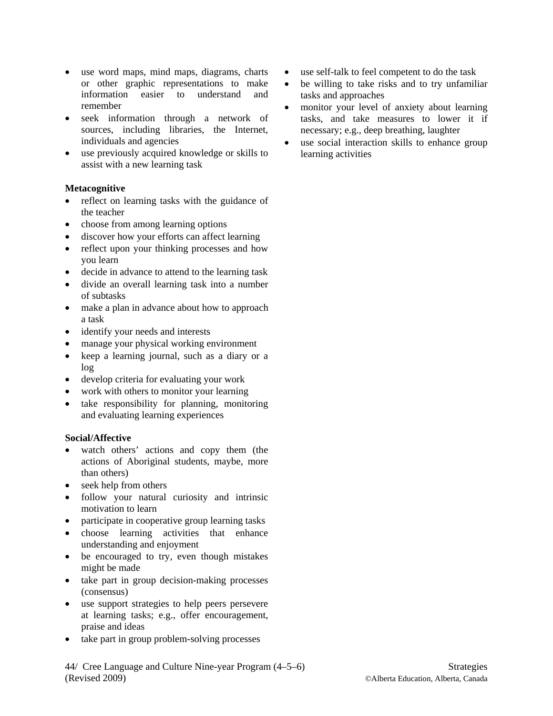- use word maps, mind maps, diagrams, charts or other graphic representations to make information easier to understand and remember
- seek information through a network of sources, including libraries, the Internet, individuals and agencies
- use previously acquired knowledge or skills to assist with a new learning task

## **Metacognitive**

- reflect on learning tasks with the guidance of the teacher
- choose from among learning options
- discover how your efforts can affect learning
- reflect upon your thinking processes and how you learn
- decide in advance to attend to the learning task
- divide an overall learning task into a number of subtasks
- make a plan in advance about how to approach a task
- identify your needs and interests
- manage your physical working environment
- keep a learning journal, such as a diary or a log
- develop criteria for evaluating your work
- work with others to monitor your learning
- take responsibility for planning, monitoring and evaluating learning experiences

## **Social/Affective**

- watch others' actions and copy them (the actions of Aboriginal students, maybe, more than others)
- seek help from others
- follow your natural curiosity and intrinsic motivation to learn
- participate in cooperative group learning tasks
- choose learning activities that enhance understanding and enjoyment
- be encouraged to try, even though mistakes might be made
- take part in group decision-making processes (consensus)
- use support strategies to help peers persevere at learning tasks; e.g., offer encouragement, praise and ideas
- take part in group problem-solving processes
- use self-talk to feel competent to do the task
- be willing to take risks and to try unfamiliar tasks and approaches
- monitor your level of anxiety about learning tasks, and take measures to lower it if necessary; e.g., deep breathing, laughter
- use social interaction skills to enhance group learning activities